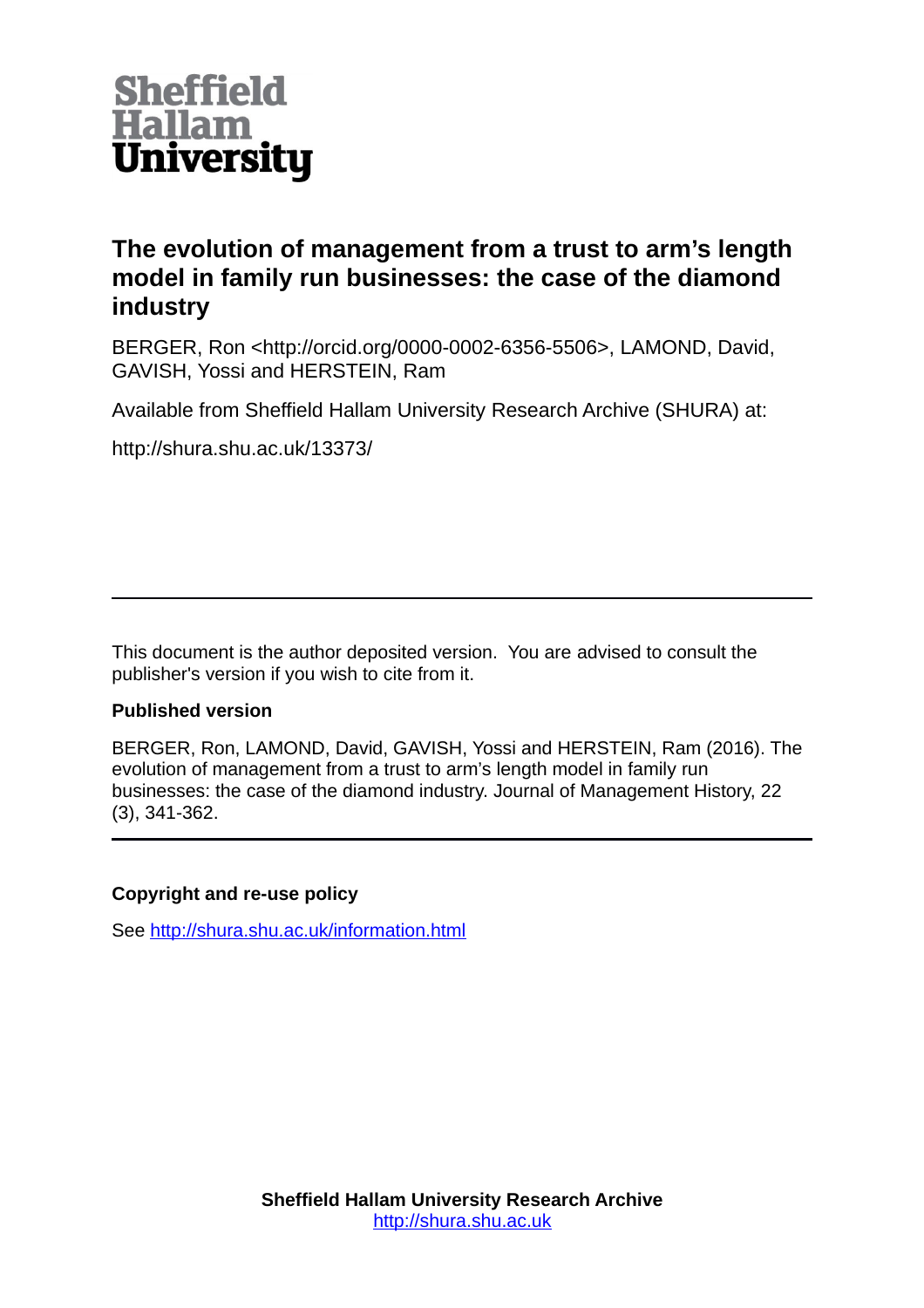

# **The evolution of management from a trust to arm's length model in family run businesses: the case of the diamond industry**

BERGER, Ron <http://orcid.org/0000-0002-6356-5506>, LAMOND, David, GAVISH, Yossi and HERSTEIN, Ram

Available from Sheffield Hallam University Research Archive (SHURA) at:

http://shura.shu.ac.uk/13373/

This document is the author deposited version. You are advised to consult the publisher's version if you wish to cite from it.

## **Published version**

BERGER, Ron, LAMOND, David, GAVISH, Yossi and HERSTEIN, Ram (2016). The evolution of management from a trust to arm's length model in family run businesses: the case of the diamond industry. Journal of Management History, 22 (3), 341-362.

## **Copyright and re-use policy**

See<http://shura.shu.ac.uk/information.html>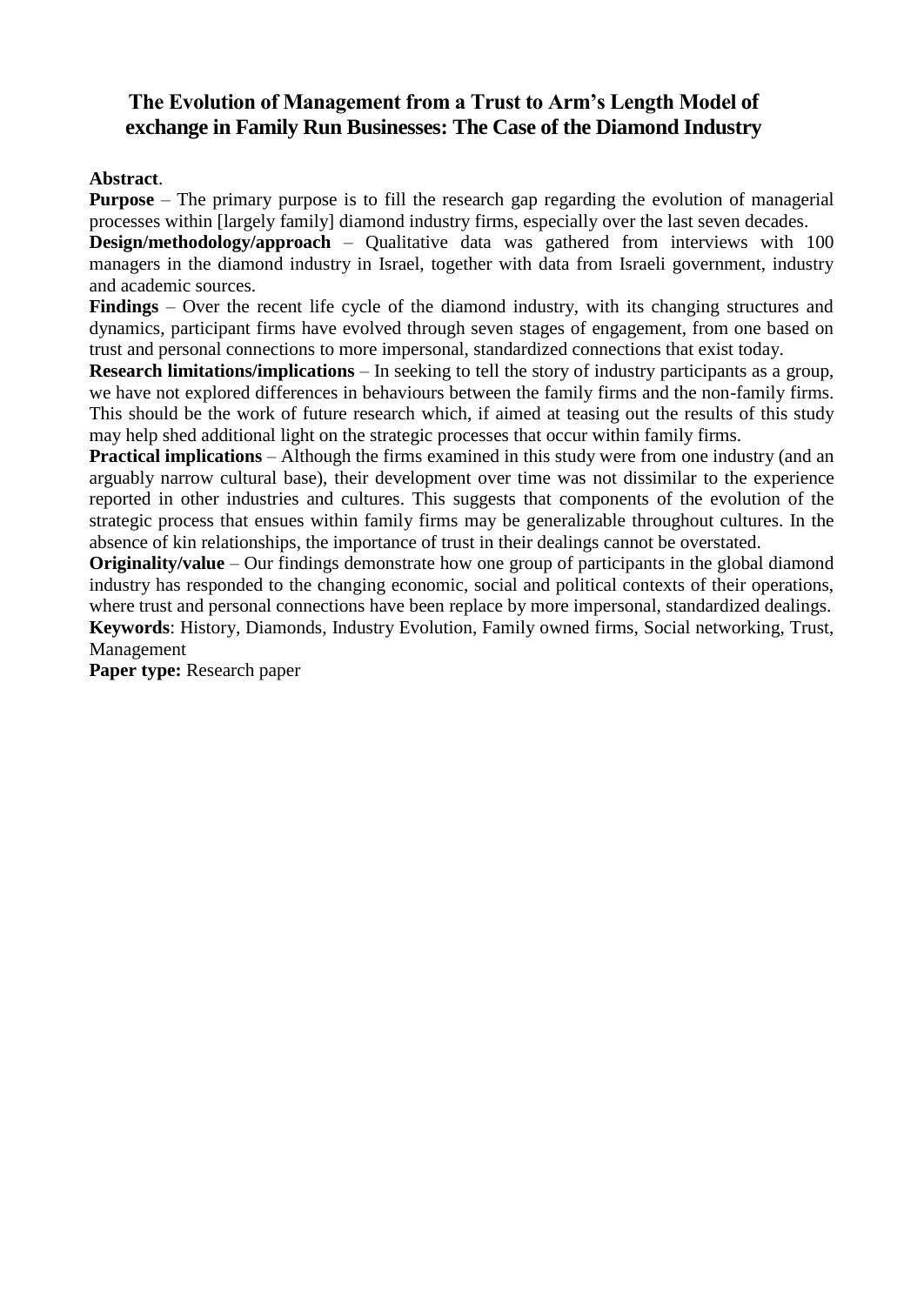## **The Evolution of Management from a Trust to Arm's Length Model of exchange in Family Run Businesses: The Case of the Diamond Industry**

## **Abstract**.

**Purpose** – The primary purpose is to fill the research gap regarding the evolution of managerial processes within [largely family] diamond industry firms, especially over the last seven decades.

**Design/methodology/approach** – Qualitative data was gathered from interviews with 100 managers in the diamond industry in Israel, together with data from Israeli government, industry and academic sources.

**Findings** – Over the recent life cycle of the diamond industry, with its changing structures and dynamics, participant firms have evolved through seven stages of engagement, from one based on trust and personal connections to more impersonal, standardized connections that exist today.

**Research limitations/implications** – In seeking to tell the story of industry participants as a group, we have not explored differences in behaviours between the family firms and the non-family firms. This should be the work of future research which, if aimed at teasing out the results of this study may help shed additional light on the strategic processes that occur within family firms.

**Practical implications** – Although the firms examined in this study were from one industry (and an arguably narrow cultural base), their development over time was not dissimilar to the experience reported in other industries and cultures. This suggests that components of the evolution of the strategic process that ensues within family firms may be generalizable throughout cultures. In the absence of kin relationships, the importance of trust in their dealings cannot be overstated.

**Originality/value** – Our findings demonstrate how one group of participants in the global diamond industry has responded to the changing economic, social and political contexts of their operations, where trust and personal connections have been replace by more impersonal, standardized dealings.

**Keywords**: History, Diamonds, Industry Evolution, Family owned firms, Social networking, Trust, Management

**Paper type:** Research paper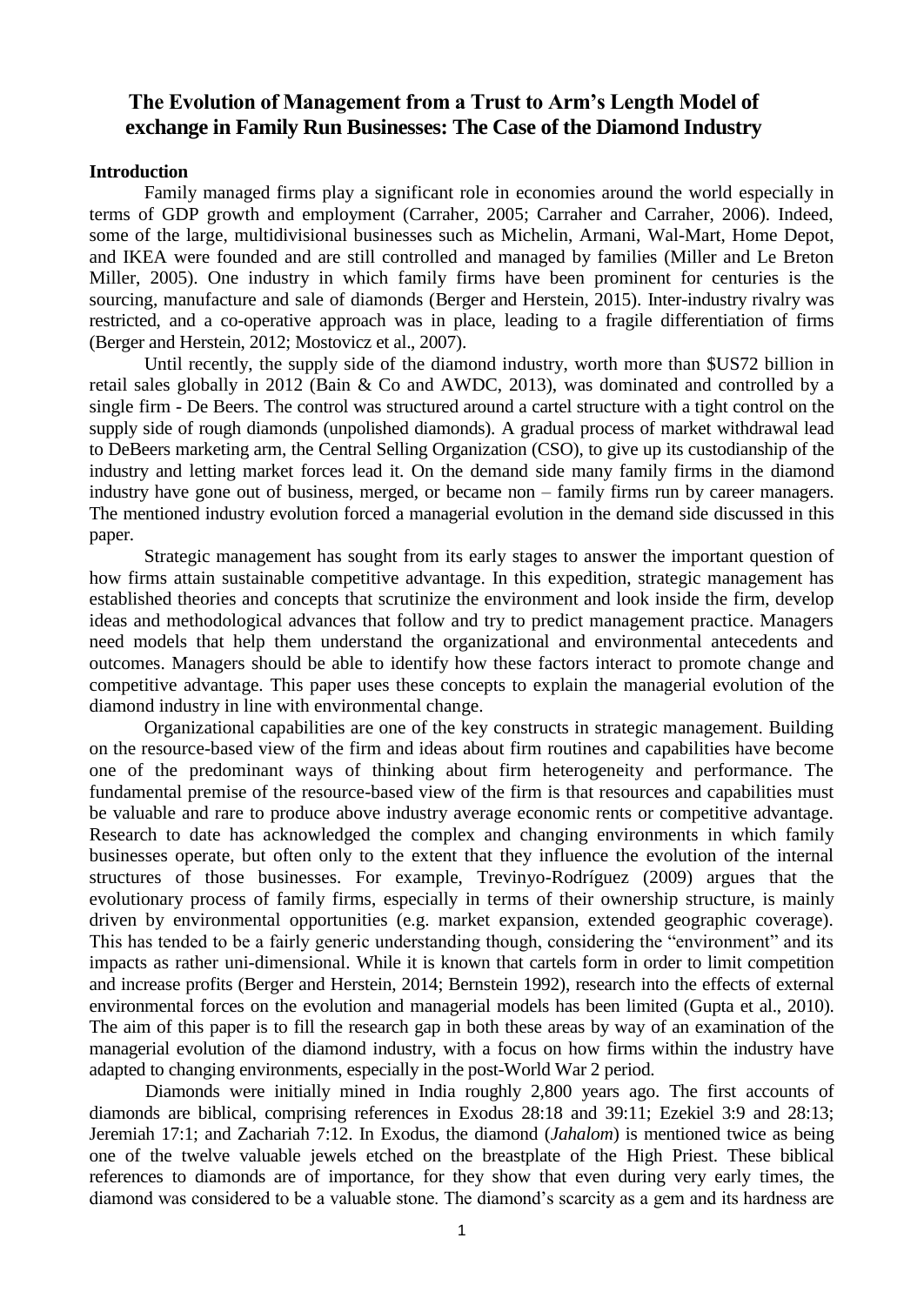## **The Evolution of Management from a Trust to Arm's Length Model of exchange in Family Run Businesses: The Case of the Diamond Industry**

#### **Introduction**

Family managed firms play a significant role in economies around the world especially in terms of GDP growth and employment (Carraher, 2005; Carraher and Carraher, 2006). Indeed, some of the large, multidivisional businesses such as Michelin, Armani, Wal-Mart, Home Depot, and IKEA were founded and are still controlled and managed by families (Miller and Le Breton Miller, 2005). One industry in which family firms have been prominent for centuries is the sourcing, manufacture and sale of diamonds (Berger and Herstein, 2015). Inter-industry rivalry was restricted, and a co-operative approach was in place, leading to a fragile differentiation of firms (Berger and Herstein, 2012; Mostovicz et al., 2007).

Until recently, the supply side of the diamond industry, worth more than \$US72 billion in retail sales globally in 2012 (Bain & Co and AWDC, 2013), was dominated and controlled by a single firm - De Beers. The control was structured around a cartel structure with a tight control on the supply side of rough diamonds (unpolished diamonds). A gradual process of market withdrawal lead to DeBeers marketing arm, the Central Selling Organization (CSO), to give up its custodianship of the industry and letting market forces lead it. On the demand side many family firms in the diamond industry have gone out of business, merged, or became non – family firms run by career managers. The mentioned industry evolution forced a managerial evolution in the demand side discussed in this paper.

Strategic management has sought from its early stages to answer the important question of how firms attain sustainable competitive advantage. In this expedition, strategic management has established theories and concepts that scrutinize the environment and look inside the firm, develop ideas and methodological advances that follow and try to predict management practice. Managers need models that help them understand the organizational and environmental antecedents and outcomes. Managers should be able to identify how these factors interact to promote change and competitive advantage. This paper uses these concepts to explain the managerial evolution of the diamond industry in line with environmental change.

Organizational capabilities are one of the key constructs in strategic management. Building on the resource-based view of the firm and ideas about firm routines and capabilities have become one of the predominant ways of thinking about firm heterogeneity and performance. The fundamental premise of the resource-based view of the firm is that resources and capabilities must be valuable and rare to produce above industry average economic rents or competitive advantage. Research to date has acknowledged the complex and changing environments in which family businesses operate, but often only to the extent that they influence the evolution of the internal structures of those businesses. For example, Trevinyo-Rodríguez (2009) argues that the evolutionary process of family firms, especially in terms of their ownership structure, is mainly driven by environmental opportunities (e.g. market expansion, extended geographic coverage). This has tended to be a fairly generic understanding though, considering the "environment" and its impacts as rather uni-dimensional. While it is known that cartels form in order to limit competition and increase profits (Berger and Herstein, 2014; Bernstein 1992), research into the effects of external environmental forces on the evolution and managerial models has been limited (Gupta et al., 2010). The aim of this paper is to fill the research gap in both these areas by way of an examination of the managerial evolution of the diamond industry, with a focus on how firms within the industry have adapted to changing environments, especially in the post-World War 2 period.

Diamonds were initially mined in India roughly 2,800 years ago. The first accounts of diamonds are biblical, comprising references in Exodus 28:18 and 39:11; Ezekiel 3:9 and 28:13; Jeremiah 17:1; and Zachariah 7:12. In Exodus, the diamond (*Jahalom*) is mentioned twice as being one of the twelve valuable jewels etched on the breastplate of the High Priest. These biblical references to diamonds are of importance, for they show that even during very early times, the diamond was considered to be a valuable stone. The diamond's scarcity as a gem and its hardness are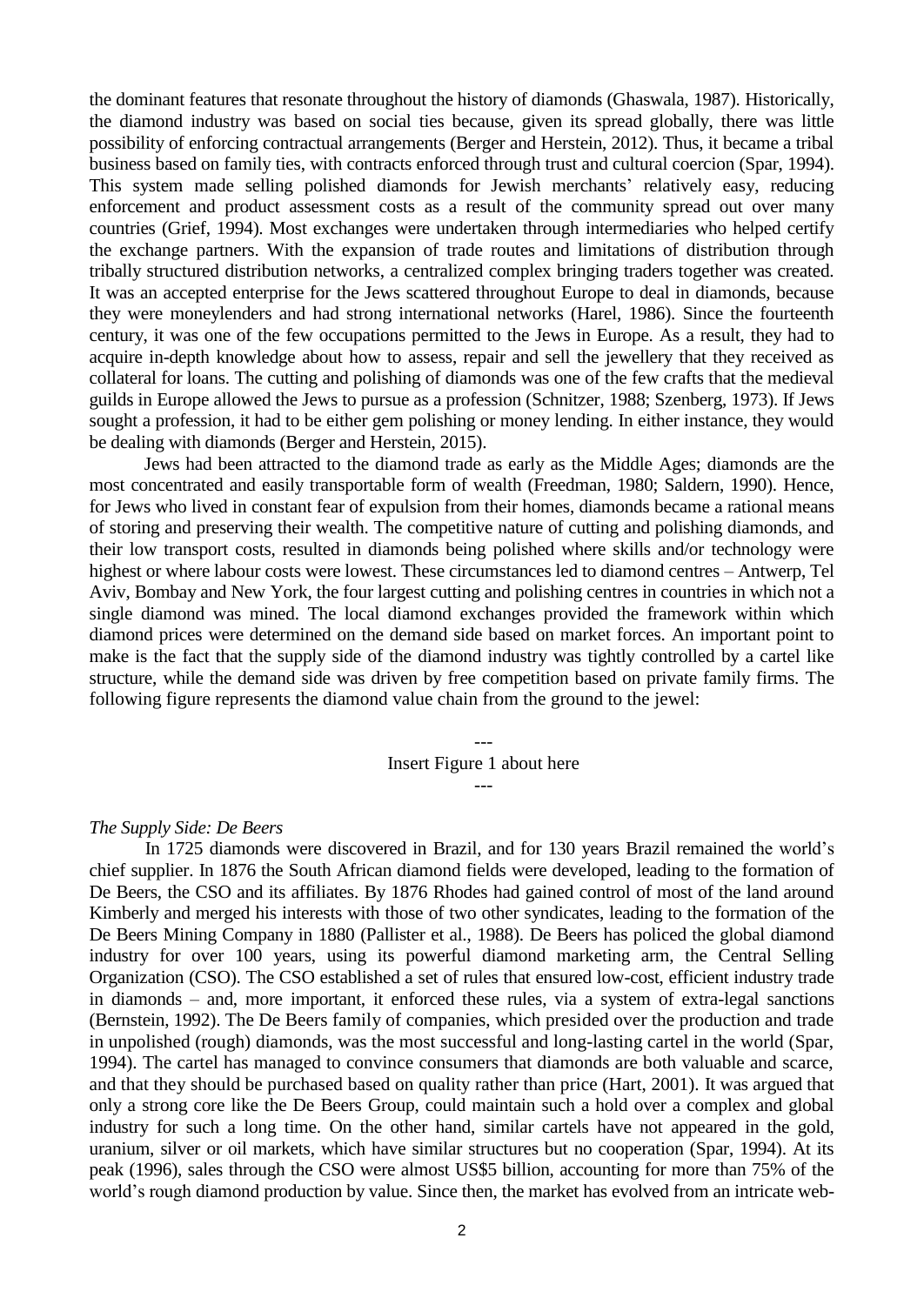the dominant features that resonate throughout the history of diamonds (Ghaswala, 1987). Historically, the diamond industry was based on social ties because, given its spread globally, there was little possibility of enforcing contractual arrangements (Berger and Herstein, 2012). Thus, it became a tribal business based on family ties, with contracts enforced through trust and cultural coercion (Spar, 1994). This system made selling polished diamonds for Jewish merchants' relatively easy, reducing enforcement and product assessment costs as a result of the community spread out over many countries (Grief, 1994). Most exchanges were undertaken through intermediaries who helped certify the exchange partners. With the expansion of trade routes and limitations of distribution through tribally structured distribution networks, a centralized complex bringing traders together was created. It was an accepted enterprise for the Jews scattered throughout Europe to deal in diamonds, because they were moneylenders and had strong international networks (Harel, 1986). Since the fourteenth century, it was one of the few occupations permitted to the Jews in Europe. As a result, they had to acquire in-depth knowledge about how to assess, repair and sell the jewellery that they received as collateral for loans. The cutting and polishing of diamonds was one of the few crafts that the medieval guilds in Europe allowed the Jews to pursue as a profession (Schnitzer, 1988; Szenberg, 1973). If Jews sought a profession, it had to be either gem polishing or money lending. In either instance, they would be dealing with diamonds (Berger and Herstein, 2015).

Jews had been attracted to the diamond trade as early as the Middle Ages; diamonds are the most concentrated and easily transportable form of wealth (Freedman, 1980; Saldern, 1990). Hence, for Jews who lived in constant fear of expulsion from their homes, diamonds became a rational means of storing and preserving their wealth. The competitive nature of cutting and polishing diamonds, and their low transport costs, resulted in diamonds being polished where skills and/or technology were highest or where labour costs were lowest. These circumstances led to diamond centres – Antwerp, Tel Aviv, Bombay and New York, the four largest cutting and polishing centres in countries in which not a single diamond was mined. The local diamond exchanges provided the framework within which diamond prices were determined on the demand side based on market forces. An important point to make is the fact that the supply side of the diamond industry was tightly controlled by a cartel like structure, while the demand side was driven by free competition based on private family firms. The following figure represents the diamond value chain from the ground to the jewel:

> --- Insert Figure 1 about here ---

#### *The Supply Side: De Beers*

In 1725 diamonds were discovered in Brazil, and for 130 years Brazil remained the world's chief supplier. In 1876 the South African diamond fields were developed, leading to the formation of De Beers, the CSO and its affiliates. By 1876 Rhodes had gained control of most of the land around Kimberly and merged his interests with those of two other syndicates, leading to the formation of the De Beers Mining Company in 1880 (Pallister et al., 1988). De Beers has policed the global diamond industry for over 100 years, using its powerful diamond marketing arm, the Central Selling Organization (CSO). The CSO established a set of rules that ensured low-cost, efficient industry trade in diamonds – and, more important, it enforced these rules, via a system of extra-legal sanctions (Bernstein, 1992). The De Beers family of companies, which presided over the production and trade in unpolished (rough) diamonds, was the most successful and long-lasting cartel in the world (Spar, 1994). The cartel has managed to convince consumers that diamonds are both valuable and scarce, and that they should be purchased based on quality rather than price (Hart, 2001). It was argued that only a strong core like the De Beers Group, could maintain such a hold over a complex and global industry for such a long time. On the other hand, similar cartels have not appeared in the gold, uranium, silver or oil markets, which have similar structures but no cooperation (Spar, 1994). At its peak (1996), sales through the CSO were almost US\$5 billion, accounting for more than 75% of the world's rough diamond production by value. Since then, the market has evolved from an intricate web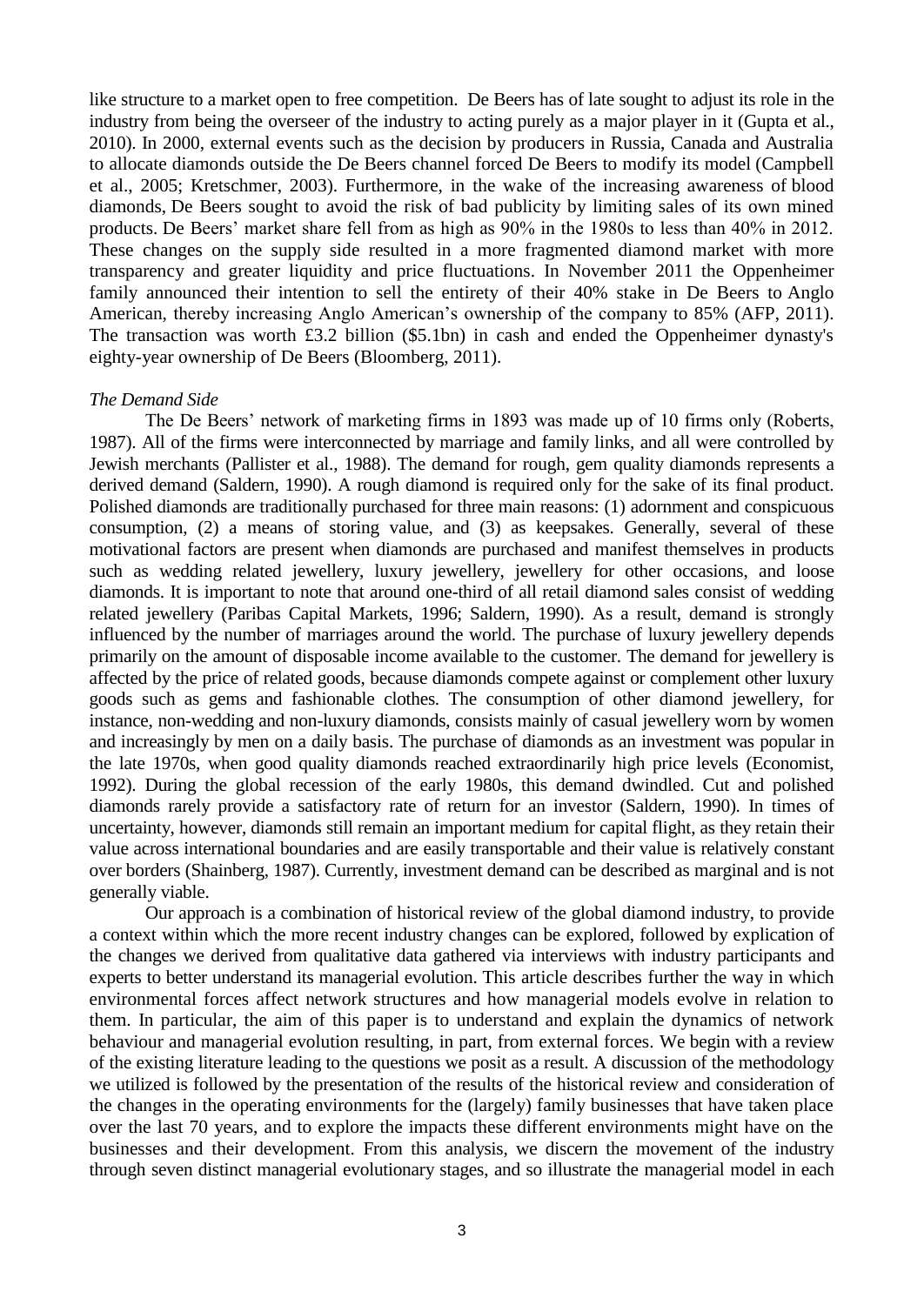like structure to a market open to free competition. De Beers has of late sought to adjust its role in the industry from being the overseer of the industry to acting purely as a major player in it (Gupta et al., 2010). In 2000, external events such as the decision by producers in Russia, Canada and Australia to allocate diamonds outside the De Beers channel forced De Beers to modify its model (Campbell et al., 2005; Kretschmer, 2003). Furthermore, in the wake of the increasing awareness of [blood](http://en.wikipedia.org/wiki/Blood_diamond)  [diamonds,](http://en.wikipedia.org/wiki/Blood_diamond) De Beers sought to avoid the risk of bad publicity by limiting sales of its own mined products. De Beers' market share fell from as high as 90% in the 1980s to less than 40% in 2012. These changes on the supply side resulted in a more fragmented diamond market with more transparency and greater liquidity and price fluctuations. In November 2011 the Oppenheimer family announced their intention to sell the entirety of their 40% stake in De Beers to [Anglo](http://en.wikipedia.org/wiki/Anglo_American_plc)  [American, t](http://en.wikipedia.org/wiki/Anglo_American_plc)hereby increasing Anglo American's ownership of the company to 85% [\(A](http://en.wikipedia.org/wiki/De_Beers#cite_note-24)FP, 2011). The transaction was worth £3.2 billion (\$5.1bn) in cash and ended the Oppenheimer dynasty's eighty-year ownership of De Beers (Bloomberg, 2011).

#### *The Demand Side*

The De Beers' network of marketing firms in 1893 was made up of 10 firms only (Roberts, 1987). All of the firms were interconnected by marriage and family links, and all were controlled by Jewish merchants (Pallister et al., 1988). The demand for rough, gem quality diamonds represents a derived demand (Saldern, 1990). A rough diamond is required only for the sake of its final product. Polished diamonds are traditionally purchased for three main reasons: (1) adornment and conspicuous consumption, (2) a means of storing value, and (3) as keepsakes. Generally, several of these motivational factors are present when diamonds are purchased and manifest themselves in products such as wedding related jewellery, luxury jewellery, jewellery for other occasions, and loose diamonds. It is important to note that around one-third of all retail diamond sales consist of wedding related jewellery (Paribas Capital Markets, 1996; Saldern, 1990). As a result, demand is strongly influenced by the number of marriages around the world. The purchase of luxury jewellery depends primarily on the amount of disposable income available to the customer. The demand for jewellery is affected by the price of related goods, because diamonds compete against or complement other luxury goods such as gems and fashionable clothes. The consumption of other diamond jewellery, for instance, non-wedding and non-luxury diamonds, consists mainly of casual jewellery worn by women and increasingly by men on a daily basis. The purchase of diamonds as an investment was popular in the late 1970s, when good quality diamonds reached extraordinarily high price levels (Economist, 1992). During the global recession of the early 1980s, this demand dwindled. Cut and polished diamonds rarely provide a satisfactory rate of return for an investor (Saldern, 1990). In times of uncertainty, however, diamonds still remain an important medium for capital flight, as they retain their value across international boundaries and are easily transportable and their value is relatively constant over borders (Shainberg, 1987). Currently, investment demand can be described as marginal and is not generally viable.

Our approach is a combination of historical review of the global diamond industry, to provide a context within which the more recent industry changes can be explored, followed by explication of the changes we derived from qualitative data gathered via interviews with industry participants and experts to better understand its managerial evolution. This article describes further the way in which environmental forces affect network structures and how managerial models evolve in relation to them. In particular, the aim of this paper is to understand and explain the dynamics of network behaviour and managerial evolution resulting, in part, from external forces. We begin with a review of the existing literature leading to the questions we posit as a result. A discussion of the methodology we utilized is followed by the presentation of the results of the historical review and consideration of the changes in the operating environments for the (largely) family businesses that have taken place over the last 70 years, and to explore the impacts these different environments might have on the businesses and their development. From this analysis, we discern the movement of the industry through seven distinct managerial evolutionary stages, and so illustrate the managerial model in each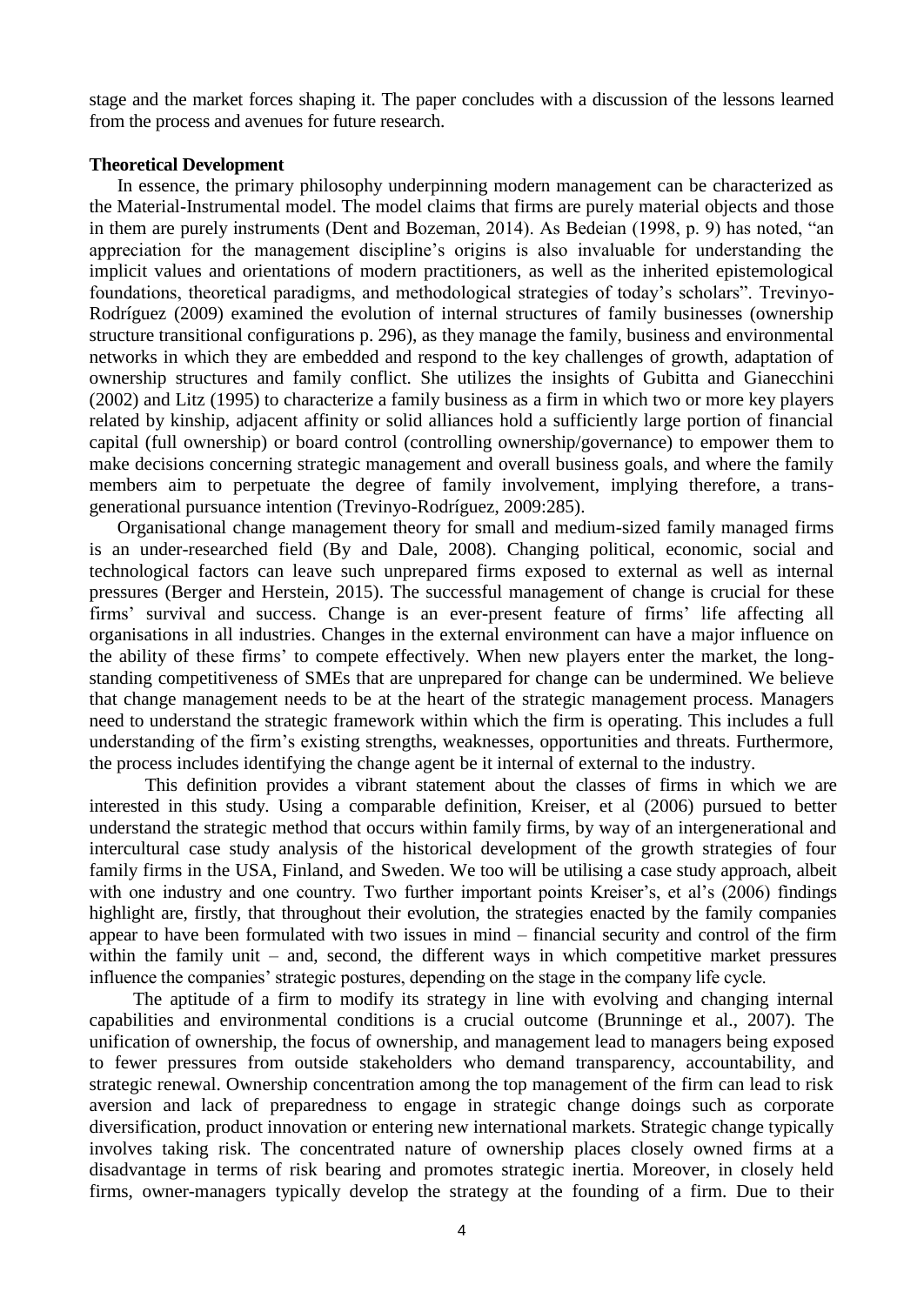stage and the market forces shaping it. The paper concludes with a discussion of the lessons learned from the process and avenues for future research.

#### **Theoretical Development**

In essence, the primary philosophy underpinning modern management can be characterized as the Material-Instrumental model. The model claims that firms are purely material objects and those in them are purely instruments (Dent and Bozeman, 2014). As Bedeian (1998, p. 9) has noted, "an appreciation for the management discipline's origins is also invaluable for understanding the implicit values and orientations of modern practitioners, as well as the inherited epistemological foundations, theoretical paradigms, and methodological strategies of today's scholars". Trevinyo-Rodríguez (2009) examined the evolution of internal structures of family businesses (ownership structure transitional configurations p. 296), as they manage the family, business and environmental networks in which they are embedded and respond to the key challenges of growth, adaptation of ownership structures and family conflict. She utilizes the insights of Gubitta and Gianecchini (2002) and Litz (1995) to characterize a family business as a firm in which two or more key players related by kinship, adjacent affinity or solid alliances hold a sufficiently large portion of financial capital (full ownership) or board control (controlling ownership/governance) to empower them to make decisions concerning strategic management and overall business goals, and where the family members aim to perpetuate the degree of family involvement, implying therefore, a transgenerational pursuance intention (Trevinyo-Rodríguez, 2009:285).

Organisational change management theory for small and medium-sized family managed firms is an under-researched field (By and Dale, 2008). Changing political, economic, social and technological factors can leave such unprepared firms exposed to external as well as internal pressures (Berger and Herstein, 2015). The successful management of change is crucial for these firms' survival and success. Change is an ever-present feature of firms' life affecting all organisations in all industries. Changes in the external environment can have a major influence on the ability of these firms' to compete effectively. When new players enter the market, the longstanding competitiveness of SMEs that are unprepared for change can be undermined. We believe that change management needs to be at the heart of the strategic management process. Managers need to understand the strategic framework within which the firm is operating. This includes a full understanding of the firm's existing strengths, weaknesses, opportunities and threats. Furthermore, the process includes identifying the change agent be it internal of external to the industry.

This definition provides a vibrant statement about the classes of firms in which we are interested in this study. Using a comparable definition, Kreiser, et al (2006) pursued to better understand the strategic method that occurs within family firms, by way of an intergenerational and intercultural case study analysis of the historical development of the growth strategies of four family firms in the USA, Finland, and Sweden. We too will be utilising a case study approach, albeit with one industry and one country. Two further important points Kreiser's, et al's (2006) findings highlight are, firstly, that throughout their evolution, the strategies enacted by the family companies appear to have been formulated with two issues in mind – financial security and control of the firm within the family unit – and, second, the different ways in which competitive market pressures influence the companies' strategic postures, depending on the stage in the company life cycle.

The aptitude of a firm to modify its strategy in line with evolving and changing internal capabilities and environmental conditions is a crucial outcome (Brunninge et al., 2007). The unification of ownership, the focus of ownership, and management lead to managers being exposed to fewer pressures from outside stakeholders who demand transparency, accountability, and strategic renewal. Ownership concentration among the top management of the firm can lead to risk aversion and lack of preparedness to engage in strategic change doings such as corporate diversification, product innovation or entering new international markets. Strategic change typically involves taking risk. The concentrated nature of ownership places closely owned firms at a disadvantage in terms of risk bearing and promotes strategic inertia. Moreover, in closely held firms, owner-managers typically develop the strategy at the founding of a firm. Due to their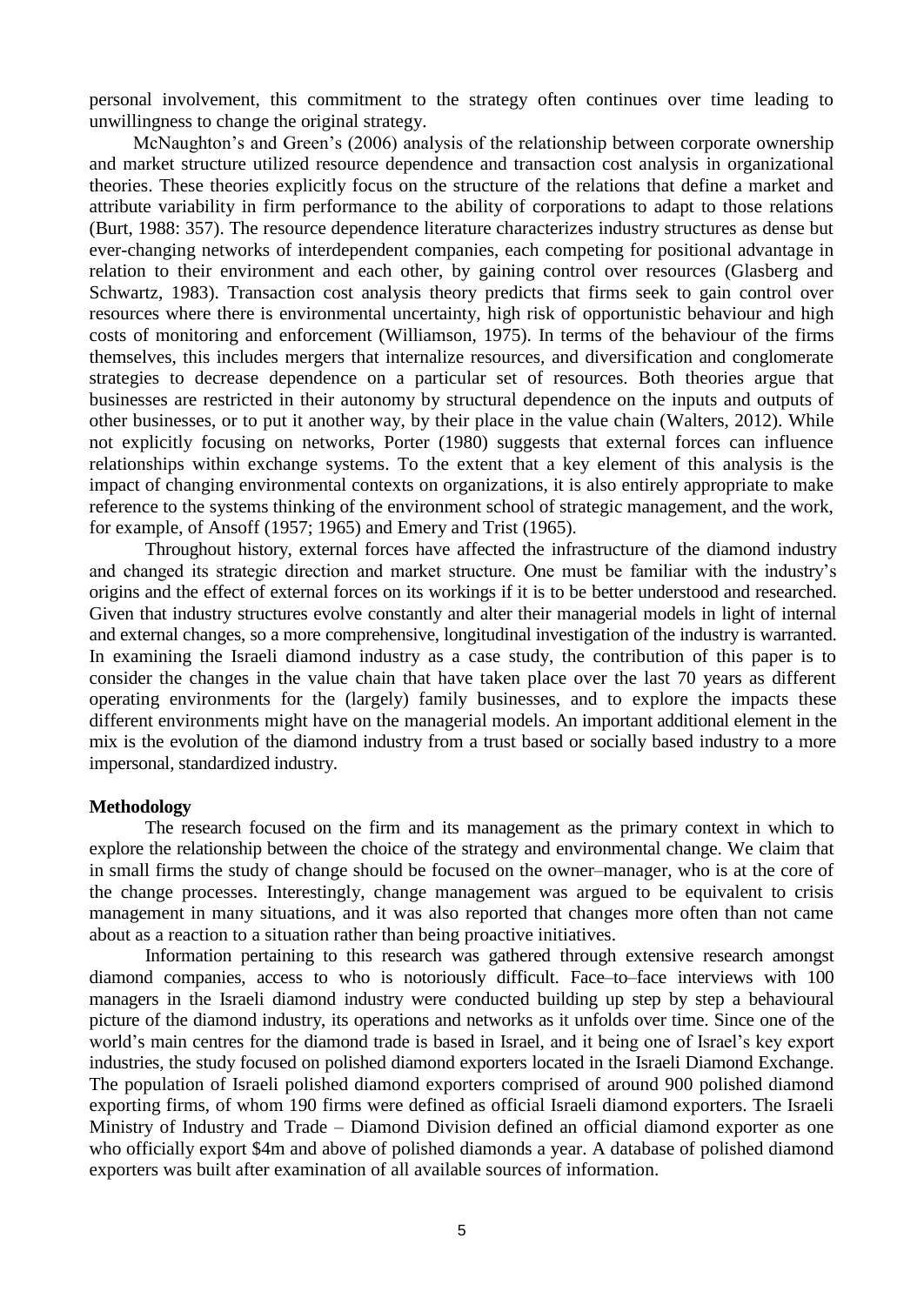personal involvement, this commitment to the strategy often continues over time leading to unwillingness to change the original strategy.

McNaughton's and Green's (2006) analysis of the relationship between corporate ownership and market structure utilized resource dependence and transaction cost analysis in organizational theories. These theories explicitly focus on the structure of the relations that define a market and attribute variability in firm performance to the ability of corporations to adapt to those relations (Burt, 1988: 357). The resource dependence literature characterizes industry structures as dense but ever-changing networks of interdependent companies, each competing for positional advantage in relation to their environment and each other, by gaining control over resources (Glasberg and Schwartz, 1983). Transaction cost analysis theory predicts that firms seek to gain control over resources where there is environmental uncertainty, high risk of opportunistic behaviour and high costs of monitoring and enforcement (Williamson, 1975). In terms of the behaviour of the firms themselves, this includes mergers that internalize resources, and diversification and conglomerate strategies to decrease dependence on a particular set of resources. Both theories argue that businesses are restricted in their autonomy by structural dependence on the inputs and outputs of other businesses, or to put it another way, by their place in the value chain (Walters, 2012). While not explicitly focusing on networks, Porter (1980) suggests that external forces can influence relationships within exchange systems. To the extent that a key element of this analysis is the impact of changing environmental contexts on organizations, it is also entirely appropriate to make reference to the systems thinking of the environment school of strategic management, and the work, for example, of Ansoff (1957; 1965) and Emery and Trist (1965).

Throughout history, external forces have affected the infrastructure of the diamond industry and changed its strategic direction and market structure. One must be familiar with the industry's origins and the effect of external forces on its workings if it is to be better understood and researched. Given that industry structures evolve constantly and alter their managerial models in light of internal and external changes, so a more comprehensive, longitudinal investigation of the industry is warranted. In examining the Israeli diamond industry as a case study, the contribution of this paper is to consider the changes in the value chain that have taken place over the last 70 years as different operating environments for the (largely) family businesses, and to explore the impacts these different environments might have on the managerial models. An important additional element in the mix is the evolution of the diamond industry from a trust based or socially based industry to a more impersonal, standardized industry.

#### **Methodology**

The research focused on the firm and its management as the primary context in which to explore the relationship between the choice of the strategy and environmental change. We claim that in small firms the study of change should be focused on the owner–manager, who is at the core of the change processes. Interestingly, change management was argued to be equivalent to crisis management in many situations, and it was also reported that changes more often than not came about as a reaction to a situation rather than being proactive initiatives.

Information pertaining to this research was gathered through extensive research amongst diamond companies, access to who is notoriously difficult. Face–to–face interviews with 100 managers in the Israeli diamond industry were conducted building up step by step a behavioural picture of the diamond industry, its operations and networks as it unfolds over time. Since one of the world's main centres for the diamond trade is based in Israel, and it being one of Israel's key export industries, the study focused on polished diamond exporters located in the Israeli Diamond Exchange. The population of Israeli polished diamond exporters comprised of around 900 polished diamond exporting firms, of whom 190 firms were defined as official Israeli diamond exporters. The Israeli Ministry of Industry and Trade – Diamond Division defined an official diamond exporter as one who officially export \$4m and above of polished diamonds a year. A database of polished diamond exporters was built after examination of all available sources of information.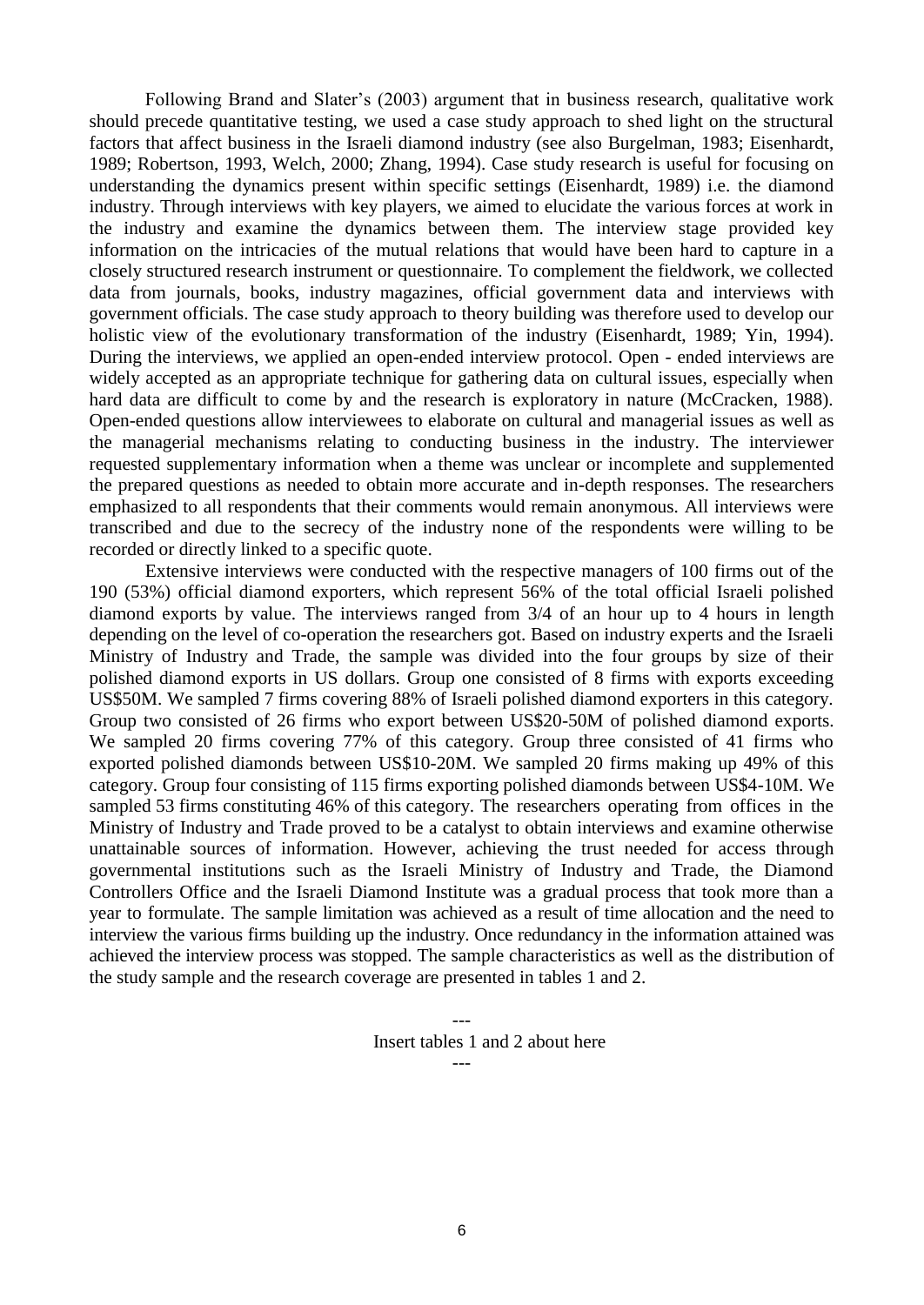Following Brand and Slater's (2003) argument that in business research, qualitative work should precede quantitative testing, we used a case study approach to shed light on the structural factors that affect business in the Israeli diamond industry (see also Burgelman, 1983; Eisenhardt, 1989; Robertson, 1993, Welch, 2000; Zhang, 1994). Case study research is useful for focusing on understanding the dynamics present within specific settings (Eisenhardt, 1989) i.e. the diamond industry. Through interviews with key players, we aimed to elucidate the various forces at work in the industry and examine the dynamics between them. The interview stage provided key information on the intricacies of the mutual relations that would have been hard to capture in a closely structured research instrument or questionnaire. To complement the fieldwork, we collected data from journals, books, industry magazines, official government data and interviews with government officials. The case study approach to theory building was therefore used to develop our holistic view of the evolutionary transformation of the industry (Eisenhardt, 1989; Yin, 1994). During the interviews, we applied an open-ended interview protocol. Open - ended interviews are widely accepted as an appropriate technique for gathering data on cultural issues, especially when hard data are difficult to come by and the research is exploratory in nature (McCracken, 1988). Open-ended questions allow interviewees to elaborate on cultural and managerial issues as well as the managerial mechanisms relating to conducting business in the industry. The interviewer requested supplementary information when a theme was unclear or incomplete and supplemented the prepared questions as needed to obtain more accurate and in-depth responses. The researchers emphasized to all respondents that their comments would remain anonymous. All interviews were transcribed and due to the secrecy of the industry none of the respondents were willing to be recorded or directly linked to a specific quote.

Extensive interviews were conducted with the respective managers of 100 firms out of the 190 (53%) official diamond exporters, which represent 56% of the total official Israeli polished diamond exports by value. The interviews ranged from 3/4 of an hour up to 4 hours in length depending on the level of co-operation the researchers got. Based on industry experts and the Israeli Ministry of Industry and Trade, the sample was divided into the four groups by size of their polished diamond exports in US dollars. Group one consisted of 8 firms with exports exceeding US\$50M. We sampled 7 firms covering 88% of Israeli polished diamond exporters in this category. Group two consisted of 26 firms who export between US\$20-50M of polished diamond exports. We sampled 20 firms covering 77% of this category. Group three consisted of 41 firms who exported polished diamonds between US\$10-20M. We sampled 20 firms making up 49% of this category. Group four consisting of 115 firms exporting polished diamonds between US\$4-10M. We sampled 53 firms constituting 46% of this category. The researchers operating from offices in the Ministry of Industry and Trade proved to be a catalyst to obtain interviews and examine otherwise unattainable sources of information. However, achieving the trust needed for access through governmental institutions such as the Israeli Ministry of Industry and Trade, the Diamond Controllers Office and the Israeli Diamond Institute was a gradual process that took more than a year to formulate. The sample limitation was achieved as a result of time allocation and the need to interview the various firms building up the industry. Once redundancy in the information attained was achieved the interview process was stopped. The sample characteristics as well as the distribution of the study sample and the research coverage are presented in tables 1 and 2.

Insert tables 1 and 2 about here

---

---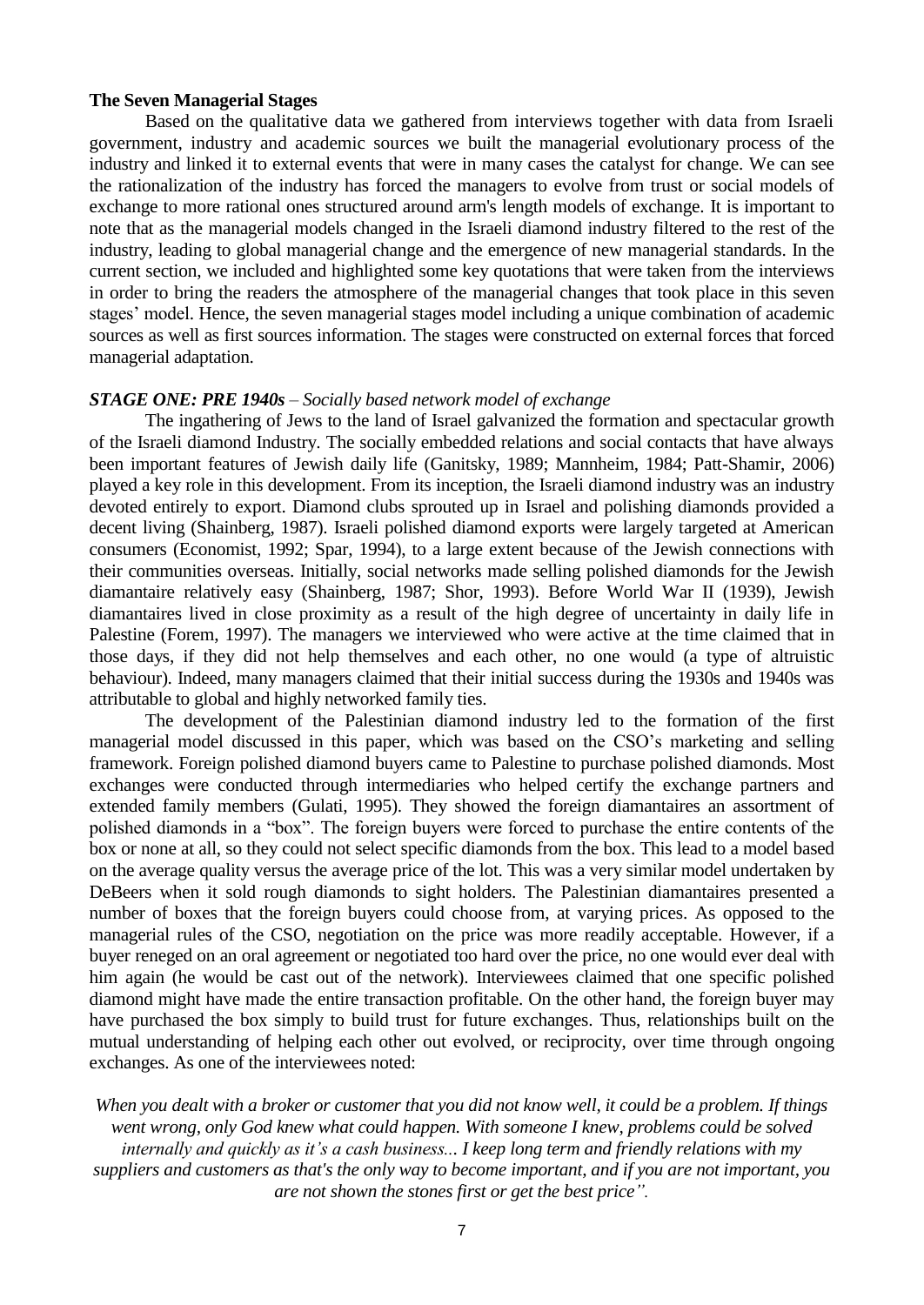#### **The Seven Managerial Stages**

Based on the qualitative data we gathered from interviews together with data from Israeli government, industry and academic sources we built the managerial evolutionary process of the industry and linked it to external events that were in many cases the catalyst for change. We can see the rationalization of the industry has forced the managers to evolve from trust or social models of exchange to more rational ones structured around arm's length models of exchange. It is important to note that as the managerial models changed in the Israeli diamond industry filtered to the rest of the industry, leading to global managerial change and the emergence of new managerial standards. In the current section, we included and highlighted some key quotations that were taken from the interviews in order to bring the readers the atmosphere of the managerial changes that took place in this seven stages' model. Hence, the seven managerial stages model including a unique combination of academic sources as well as first sources information. The stages were constructed on external forces that forced managerial adaptation.

#### *STAGE ONE: PRE 1940s – Socially based network model of exchange*

The ingathering of Jews to the land of Israel galvanized the formation and spectacular growth of the Israeli diamond Industry. The socially embedded relations and social contacts that have always been important features of Jewish daily life (Ganitsky, 1989; Mannheim, 1984; Patt-Shamir, 2006) played a key role in this development. From its inception, the Israeli diamond industry was an industry devoted entirely to export. Diamond clubs sprouted up in Israel and polishing diamonds provided a decent living (Shainberg, 1987). Israeli polished diamond exports were largely targeted at American consumers (Economist, 1992; Spar, 1994), to a large extent because of the Jewish connections with their communities overseas. Initially, social networks made selling polished diamonds for the Jewish diamantaire relatively easy (Shainberg, 1987; Shor, 1993). Before World War II (1939), Jewish diamantaires lived in close proximity as a result of the high degree of uncertainty in daily life in Palestine (Forem, 1997). The managers we interviewed who were active at the time claimed that in those days, if they did not help themselves and each other, no one would (a type of altruistic behaviour). Indeed, many managers claimed that their initial success during the 1930s and 1940s was attributable to global and highly networked family ties.

The development of the Palestinian diamond industry led to the formation of the first managerial model discussed in this paper, which was based on the CSO's marketing and selling framework. Foreign polished diamond buyers came to Palestine to purchase polished diamonds. Most exchanges were conducted through intermediaries who helped certify the exchange partners and extended family members (Gulati, 1995). They showed the foreign diamantaires an assortment of polished diamonds in a "box". The foreign buyers were forced to purchase the entire contents of the box or none at all, so they could not select specific diamonds from the box. This lead to a model based on the average quality versus the average price of the lot. This was a very similar model undertaken by DeBeers when it sold rough diamonds to sight holders. The Palestinian diamantaires presented a number of boxes that the foreign buyers could choose from, at varying prices. As opposed to the managerial rules of the CSO, negotiation on the price was more readily acceptable. However, if a buyer reneged on an oral agreement or negotiated too hard over the price, no one would ever deal with him again (he would be cast out of the network). Interviewees claimed that one specific polished diamond might have made the entire transaction profitable. On the other hand, the foreign buyer may have purchased the box simply to build trust for future exchanges. Thus, relationships built on the mutual understanding of helping each other out evolved, or reciprocity, over time through ongoing exchanges. As one of the interviewees noted:

*When you dealt with a broker or customer that you did not know well, it could be a problem. If things went wrong, only God knew what could happen. With someone I knew, problems could be solved internally and quickly as it's a cash business... I keep long term and friendly relations with my suppliers and customers as that's the only way to become important, and if you are not important, you are not shown the stones first or get the best price".*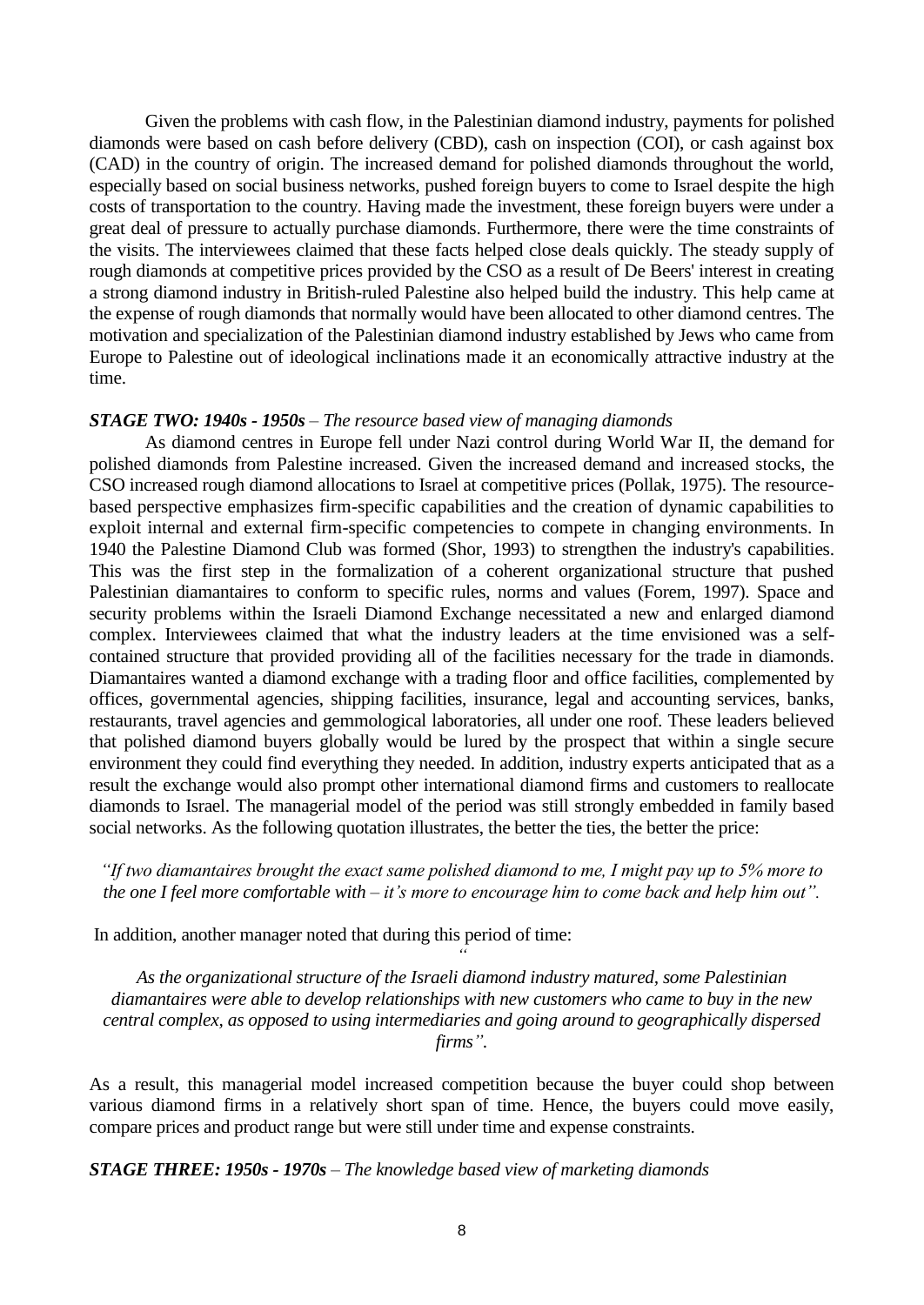Given the problems with cash flow, in the Palestinian diamond industry, payments for polished diamonds were based on cash before delivery (CBD), cash on inspection (COI), or cash against box (CAD) in the country of origin. The increased demand for polished diamonds throughout the world, especially based on social business networks, pushed foreign buyers to come to Israel despite the high costs of transportation to the country. Having made the investment, these foreign buyers were under a great deal of pressure to actually purchase diamonds. Furthermore, there were the time constraints of the visits. The interviewees claimed that these facts helped close deals quickly. The steady supply of rough diamonds at competitive prices provided by the CSO as a result of De Beers' interest in creating a strong diamond industry in British-ruled Palestine also helped build the industry. This help came at the expense of rough diamonds that normally would have been allocated to other diamond centres. The motivation and specialization of the Palestinian diamond industry established by Jews who came from Europe to Palestine out of ideological inclinations made it an economically attractive industry at the time.

#### *STAGE TWO: 1940s - 1950s – The resource based view of managing diamonds*

As diamond centres in Europe fell under Nazi control during World War II, the demand for polished diamonds from Palestine increased. Given the increased demand and increased stocks, the CSO increased rough diamond allocations to Israel at competitive prices (Pollak, 1975). The resourcebased perspective emphasizes firm-specific capabilities and the creation of dynamic capabilities to exploit internal and external firm-specific competencies to compete in changing environments. In 1940 the Palestine Diamond Club was formed (Shor, 1993) to strengthen the industry's capabilities. This was the first step in the formalization of a coherent organizational structure that pushed Palestinian diamantaires to conform to specific rules, norms and values (Forem, 1997). Space and security problems within the Israeli Diamond Exchange necessitated a new and enlarged diamond complex. Interviewees claimed that what the industry leaders at the time envisioned was a selfcontained structure that provided providing all of the facilities necessary for the trade in diamonds. Diamantaires wanted a diamond exchange with a trading floor and office facilities, complemented by offices, governmental agencies, shipping facilities, insurance, legal and accounting services, banks, restaurants, travel agencies and gemmological laboratories, all under one roof. These leaders believed that polished diamond buyers globally would be lured by the prospect that within a single secure environment they could find everything they needed. In addition, industry experts anticipated that as a result the exchange would also prompt other international diamond firms and customers to reallocate diamonds to Israel. The managerial model of the period was still strongly embedded in family based social networks. As the following quotation illustrates, the better the ties, the better the price:

## *"If two diamantaires brought the exact same polished diamond to me, I might pay up to 5% more to the one I feel more comfortable with – it's more to encourage him to come back and help him out".*

In addition, another manager noted that during this period of time:

*As the organizational structure of the Israeli diamond industry matured, some Palestinian diamantaires were able to develop relationships with new customers who came to buy in the new central complex, as opposed to using intermediaries and going around to geographically dispersed firms".*

*"*

As a result, this managerial model increased competition because the buyer could shop between various diamond firms in a relatively short span of time. Hence, the buyers could move easily, compare prices and product range but were still under time and expense constraints.

*STAGE THREE: 1950s - 1970s – The knowledge based view of marketing diamonds*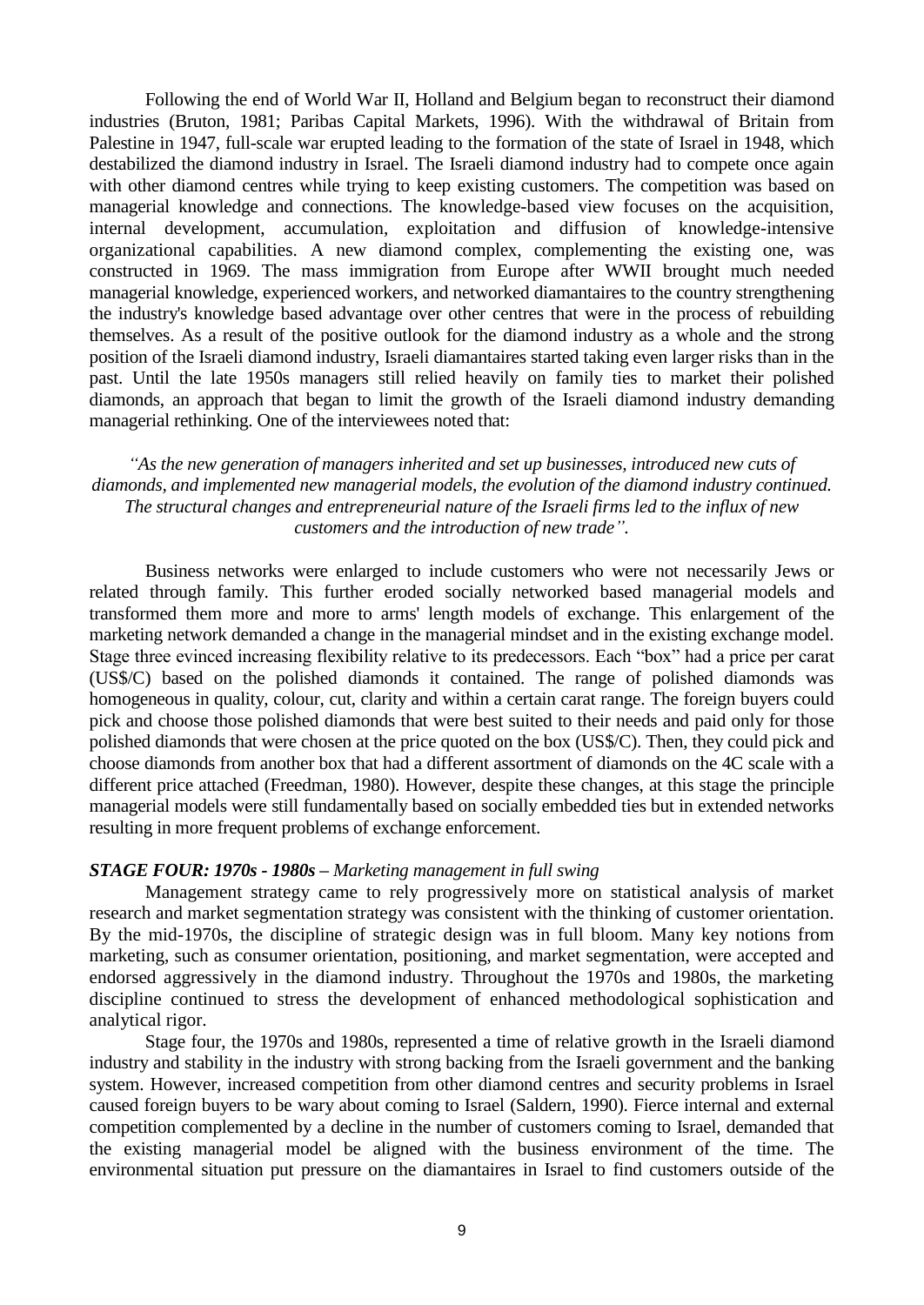Following the end of World War II, Holland and Belgium began to reconstruct their diamond industries (Bruton, 1981; Paribas Capital Markets, 1996). With the withdrawal of Britain from Palestine in 1947, full-scale war erupted leading to the formation of the state of Israel in 1948, which destabilized the diamond industry in Israel. The Israeli diamond industry had to compete once again with other diamond centres while trying to keep existing customers. The competition was based on managerial knowledge and connections. The knowledge-based view focuses on the acquisition, internal development, accumulation, exploitation and diffusion of knowledge-intensive organizational capabilities. A new diamond complex, complementing the existing one, was constructed in 1969. The mass immigration from Europe after WWII brought much needed managerial knowledge, experienced workers, and networked diamantaires to the country strengthening the industry's knowledge based advantage over other centres that were in the process of rebuilding themselves. As a result of the positive outlook for the diamond industry as a whole and the strong position of the Israeli diamond industry, Israeli diamantaires started taking even larger risks than in the past. Until the late 1950s managers still relied heavily on family ties to market their polished diamonds, an approach that began to limit the growth of the Israeli diamond industry demanding managerial rethinking. One of the interviewees noted that:

## *"As the new generation of managers inherited and set up businesses, introduced new cuts of diamonds, and implemented new managerial models, the evolution of the diamond industry continued. The structural changes and entrepreneurial nature of the Israeli firms led to the influx of new customers and the introduction of new trade".*

Business networks were enlarged to include customers who were not necessarily Jews or related through family. This further eroded socially networked based managerial models and transformed them more and more to arms' length models of exchange. This enlargement of the marketing network demanded a change in the managerial mindset and in the existing exchange model. Stage three evinced increasing flexibility relative to its predecessors. Each "box" had a price per carat (US\$/C) based on the polished diamonds it contained. The range of polished diamonds was homogeneous in quality, colour, cut, clarity and within a certain carat range. The foreign buyers could pick and choose those polished diamonds that were best suited to their needs and paid only for those polished diamonds that were chosen at the price quoted on the box (US\$/C). Then, they could pick and choose diamonds from another box that had a different assortment of diamonds on the 4C scale with a different price attached (Freedman, 1980). However, despite these changes, at this stage the principle managerial models were still fundamentally based on socially embedded ties but in extended networks resulting in more frequent problems of exchange enforcement.

#### *STAGE FOUR: 1970s - 1980s – Marketing management in full swing*

Management strategy came to rely progressively more on statistical analysis of market research and market segmentation strategy was consistent with the thinking of customer orientation. By the mid-1970s, the discipline of strategic design was in full bloom. Many key notions from marketing, such as consumer orientation, positioning, and market segmentation, were accepted and endorsed aggressively in the diamond industry. Throughout the 1970s and 1980s, the marketing discipline continued to stress the development of enhanced methodological sophistication and analytical rigor.

Stage four, the 1970s and 1980s, represented a time of relative growth in the Israeli diamond industry and stability in the industry with strong backing from the Israeli government and the banking system. However, increased competition from other diamond centres and security problems in Israel caused foreign buyers to be wary about coming to Israel (Saldern, 1990). Fierce internal and external competition complemented by a decline in the number of customers coming to Israel, demanded that the existing managerial model be aligned with the business environment of the time. The environmental situation put pressure on the diamantaires in Israel to find customers outside of the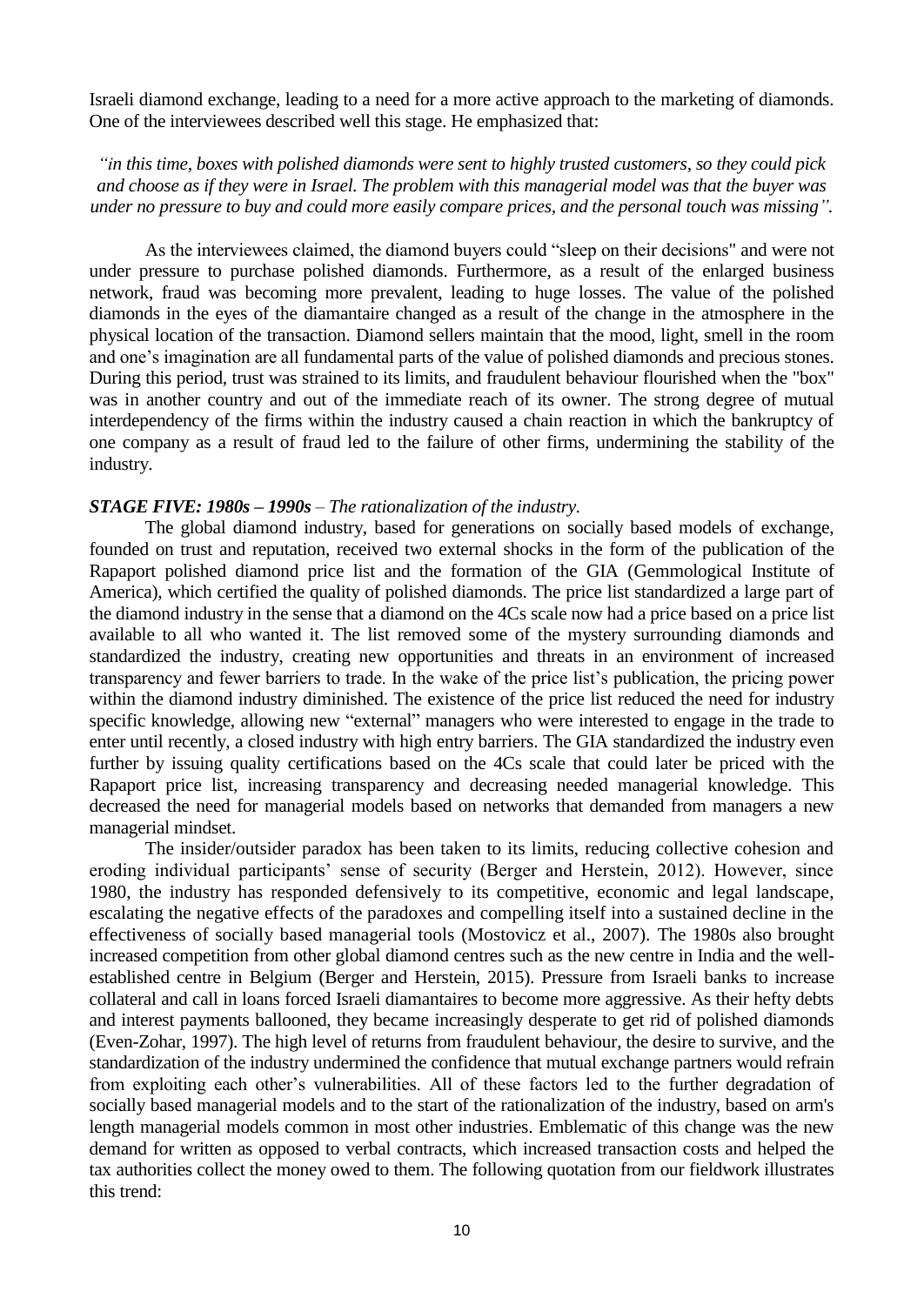Israeli diamond exchange, leading to a need for a more active approach to the marketing of diamonds. One of the interviewees described well this stage. He emphasized that:

*"in this time, boxes with polished diamonds were sent to highly trusted customers, so they could pick and choose as if they were in Israel. The problem with this managerial model was that the buyer was under no pressure to buy and could more easily compare prices, and the personal touch was missing".*

As the interviewees claimed, the diamond buyers could "sleep on their decisions" and were not under pressure to purchase polished diamonds. Furthermore, as a result of the enlarged business network, fraud was becoming more prevalent, leading to huge losses. The value of the polished diamonds in the eyes of the diamantaire changed as a result of the change in the atmosphere in the physical location of the transaction. Diamond sellers maintain that the mood, light, smell in the room and one's imagination are all fundamental parts of the value of polished diamonds and precious stones. During this period, trust was strained to its limits, and fraudulent behaviour flourished when the "box" was in another country and out of the immediate reach of its owner. The strong degree of mutual interdependency of the firms within the industry caused a chain reaction in which the bankruptcy of one company as a result of fraud led to the failure of other firms, undermining the stability of the industry.

## *STAGE FIVE: 1980s – 1990s – The rationalization of the industry.*

The global diamond industry, based for generations on socially based models of exchange, founded on trust and reputation, received two external shocks in the form of the publication of the Rapaport polished diamond price list and the formation of the GIA (Gemmological Institute of America), which certified the quality of polished diamonds. The price list standardized a large part of the diamond industry in the sense that a diamond on the 4Cs scale now had a price based on a price list available to all who wanted it. The list removed some of the mystery surrounding diamonds and standardized the industry, creating new opportunities and threats in an environment of increased transparency and fewer barriers to trade. In the wake of the price list's publication, the pricing power within the diamond industry diminished. The existence of the price list reduced the need for industry specific knowledge, allowing new "external" managers who were interested to engage in the trade to enter until recently, a closed industry with high entry barriers. The GIA standardized the industry even further by issuing quality certifications based on the 4Cs scale that could later be priced with the Rapaport price list, increasing transparency and decreasing needed managerial knowledge. This decreased the need for managerial models based on networks that demanded from managers a new managerial mindset.

The insider/outsider paradox has been taken to its limits, reducing collective cohesion and eroding individual participants' sense of security (Berger and Herstein, 2012). However, since 1980, the industry has responded defensively to its competitive, economic and legal landscape, escalating the negative effects of the paradoxes and compelling itself into a sustained decline in the effectiveness of socially based managerial tools (Mostovicz et al., 2007). The 1980s also brought increased competition from other global diamond centres such as the new centre in India and the wellestablished centre in Belgium (Berger and Herstein, 2015). Pressure from Israeli banks to increase collateral and call in loans forced Israeli diamantaires to become more aggressive. As their hefty debts and interest payments ballooned, they became increasingly desperate to get rid of polished diamonds (Even-Zohar, 1997). The high level of returns from fraudulent behaviour, the desire to survive, and the standardization of the industry undermined the confidence that mutual exchange partners would refrain from exploiting each other's vulnerabilities. All of these factors led to the further degradation of socially based managerial models and to the start of the rationalization of the industry, based on arm's length managerial models common in most other industries. Emblematic of this change was the new demand for written as opposed to verbal contracts, which increased transaction costs and helped the tax authorities collect the money owed to them. The following quotation from our fieldwork illustrates this trend: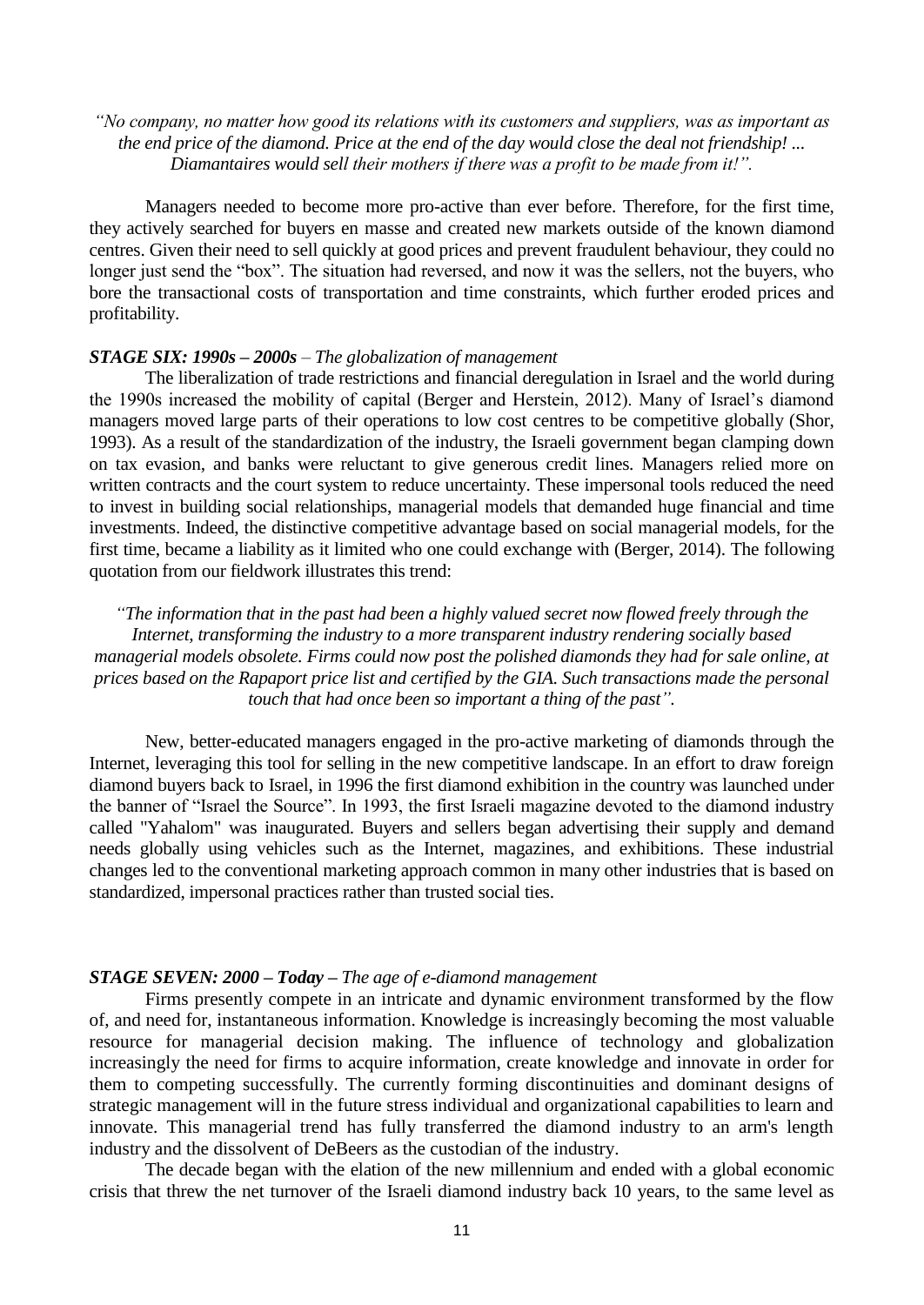## *"No company, no matter how good its relations with its customers and suppliers, was as important as the end price of the diamond. Price at the end of the day would close the deal not friendship! ... Diamantaires would sell their mothers if there was a profit to be made from it!".*

Managers needed to become more pro-active than ever before. Therefore, for the first time, they actively searched for buyers en masse and created new markets outside of the known diamond centres. Given their need to sell quickly at good prices and prevent fraudulent behaviour, they could no longer just send the "box". The situation had reversed, and now it was the sellers, not the buyers, who bore the transactional costs of transportation and time constraints, which further eroded prices and profitability.

#### *STAGE SIX: 1990s – 2000s – The globalization of management*

The liberalization of trade restrictions and financial deregulation in Israel and the world during the 1990s increased the mobility of capital (Berger and Herstein, 2012). Many of Israel's diamond managers moved large parts of their operations to low cost centres to be competitive globally (Shor, 1993). As a result of the standardization of the industry, the Israeli government began clamping down on tax evasion, and banks were reluctant to give generous credit lines. Managers relied more on written contracts and the court system to reduce uncertainty. These impersonal tools reduced the need to invest in building social relationships, managerial models that demanded huge financial and time investments. Indeed, the distinctive competitive advantage based on social managerial models, for the first time, became a liability as it limited who one could exchange with (Berger, 2014). The following quotation from our fieldwork illustrates this trend:

*"The information that in the past had been a highly valued secret now flowed freely through the Internet, transforming the industry to a more transparent industry rendering socially based managerial models obsolete. Firms could now post the polished diamonds they had for sale online, at prices based on the Rapaport price list and certified by the GIA. Such transactions made the personal touch that had once been so important a thing of the past".*

New, better-educated managers engaged in the pro-active marketing of diamonds through the Internet, leveraging this tool for selling in the new competitive landscape. In an effort to draw foreign diamond buyers back to Israel, in 1996 the first diamond exhibition in the country was launched under the banner of "Israel the Source". In 1993, the first Israeli magazine devoted to the diamond industry called "Yahalom" was inaugurated. Buyers and sellers began advertising their supply and demand needs globally using vehicles such as the Internet, magazines, and exhibitions. These industrial changes led to the conventional marketing approach common in many other industries that is based on standardized, impersonal practices rather than trusted social ties.

### *STAGE SEVEN: 2000 – Today – The age of e-diamond management*

Firms presently compete in an intricate and dynamic environment transformed by the flow of, and need for, instantaneous information. Knowledge is increasingly becoming the most valuable resource for managerial decision making. The influence of technology and globalization increasingly the need for firms to acquire information, create knowledge and innovate in order for them to competing successfully. The currently forming discontinuities and dominant designs of strategic management will in the future stress individual and organizational capabilities to learn and innovate. This managerial trend has fully transferred the diamond industry to an arm's length industry and the dissolvent of DeBeers as the custodian of the industry.

The decade began with the elation of the new millennium and ended with a global economic crisis that threw the net turnover of the Israeli diamond industry back 10 years, to the same level as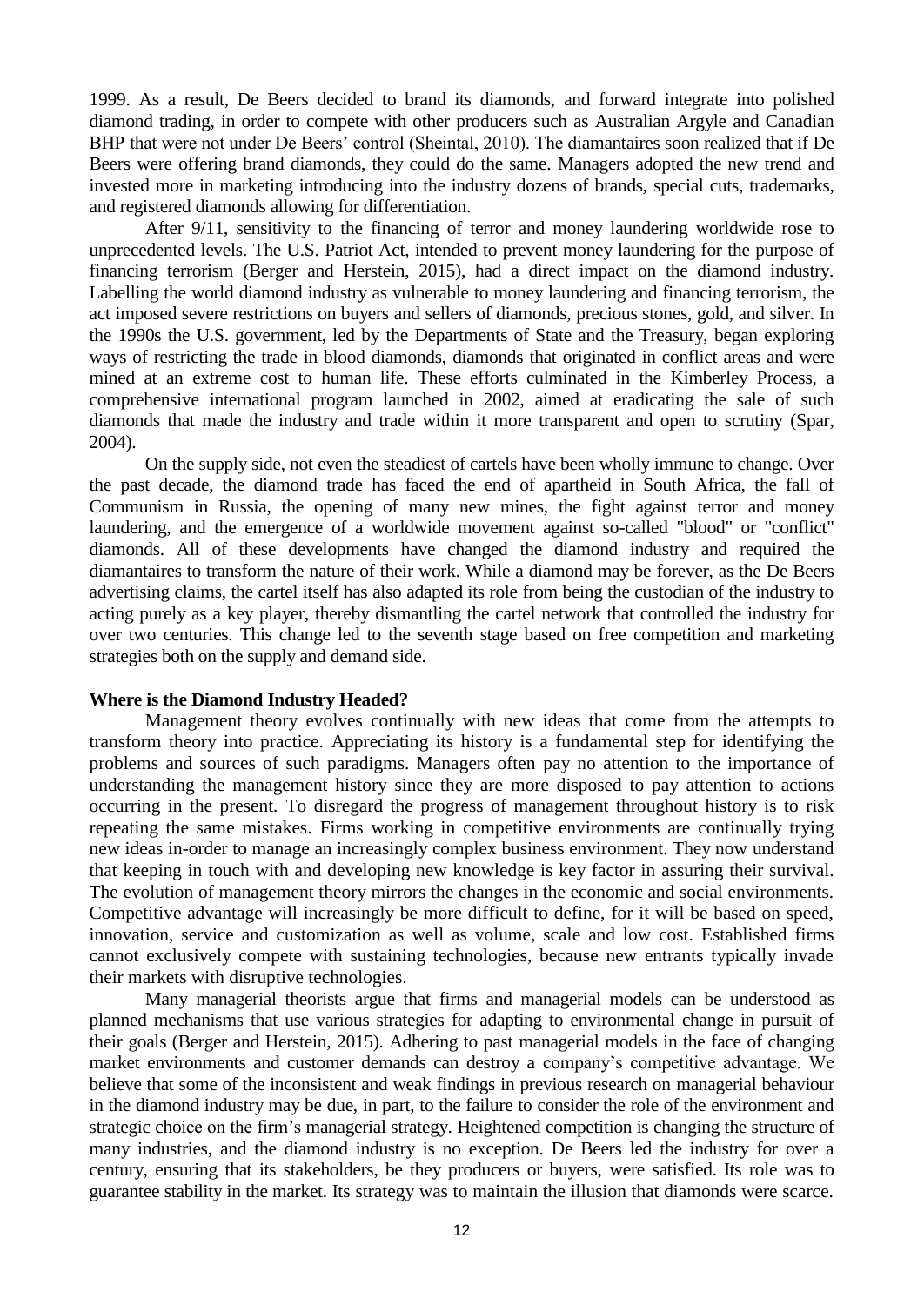1999. As a result, De Beers decided to brand its diamonds, and forward integrate into polished diamond trading, in order to compete with other producers such as Australian Argyle and Canadian BHP that were not under De Beers' control (Sheintal, 2010). The diamantaires soon realized that if De Beers were offering brand diamonds, they could do the same. Managers adopted the new trend and invested more in marketing introducing into the industry dozens of brands, special cuts, trademarks, and registered diamonds allowing for differentiation.

After 9/11, sensitivity to the financing of terror and money laundering worldwide rose to unprecedented levels. The U.S. Patriot Act, intended to prevent money laundering for the purpose of financing terrorism (Berger and Herstein, 2015), had a direct impact on the diamond industry. Labelling the world diamond industry as vulnerable to money laundering and financing terrorism, the act imposed severe restrictions on buyers and sellers of diamonds, precious stones, gold, and silver. In the 1990s the U.S. government, led by the Departments of State and the Treasury, began exploring ways of restricting the trade in blood diamonds, diamonds that originated in conflict areas and were mined at an extreme cost to human life. These efforts culminated in the Kimberley Process, a comprehensive international program launched in 2002, aimed at eradicating the sale of such diamonds that made the industry and trade within it more transparent and open to scrutiny (Spar, 2004).

On the supply side, not even the steadiest of cartels have been wholly immune to change. Over the past decade, the diamond trade has faced the end of apartheid in South Africa, the fall of Communism in Russia, the opening of many new mines, the fight against terror and money laundering, and the emergence of a worldwide movement against so-called "blood" or "conflict" diamonds. All of these developments have changed the diamond industry and required the diamantaires to transform the nature of their work. While a diamond may be forever, as the De Beers advertising claims, the cartel itself has also adapted its role from being the custodian of the industry to acting purely as a key player, thereby dismantling the cartel network that controlled the industry for over two centuries. This change led to the seventh stage based on free competition and marketing strategies both on the supply and demand side.

#### **Where is the Diamond Industry Headed?**

Management theory evolves continually with new ideas that come from the attempts to transform theory into practice. Appreciating its history is a fundamental step for identifying the problems and sources of such paradigms. Managers often pay no attention to the importance of understanding the management history since they are more disposed to pay attention to actions occurring in the present. To disregard the progress of management throughout history is to risk repeating the same mistakes. Firms working in competitive environments are continually trying new ideas in-order to manage an increasingly complex business environment. They now understand that keeping in touch with and developing new knowledge is key factor in assuring their survival. The evolution of management theory mirrors the changes in the economic and social environments. Competitive advantage will increasingly be more difficult to define, for it will be based on speed, innovation, service and customization as well as volume, scale and low cost. Established firms cannot exclusively compete with sustaining technologies, because new entrants typically invade their markets with disruptive technologies.

Many managerial theorists argue that firms and managerial models can be understood as planned mechanisms that use various strategies for adapting to environmental change in pursuit of their goals (Berger and Herstein, 2015). Adhering to past managerial models in the face of changing market environments and customer demands can destroy a company's competitive advantage. We believe that some of the inconsistent and weak findings in previous research on managerial behaviour in the diamond industry may be due, in part, to the failure to consider the role of the environment and strategic choice on the firm's managerial strategy. Heightened competition is changing the structure of many industries, and the diamond industry is no exception. De Beers led the industry for over a century, ensuring that its stakeholders, be they producers or buyers, were satisfied. Its role was to guarantee stability in the market. Its strategy was to maintain the illusion that diamonds were scarce.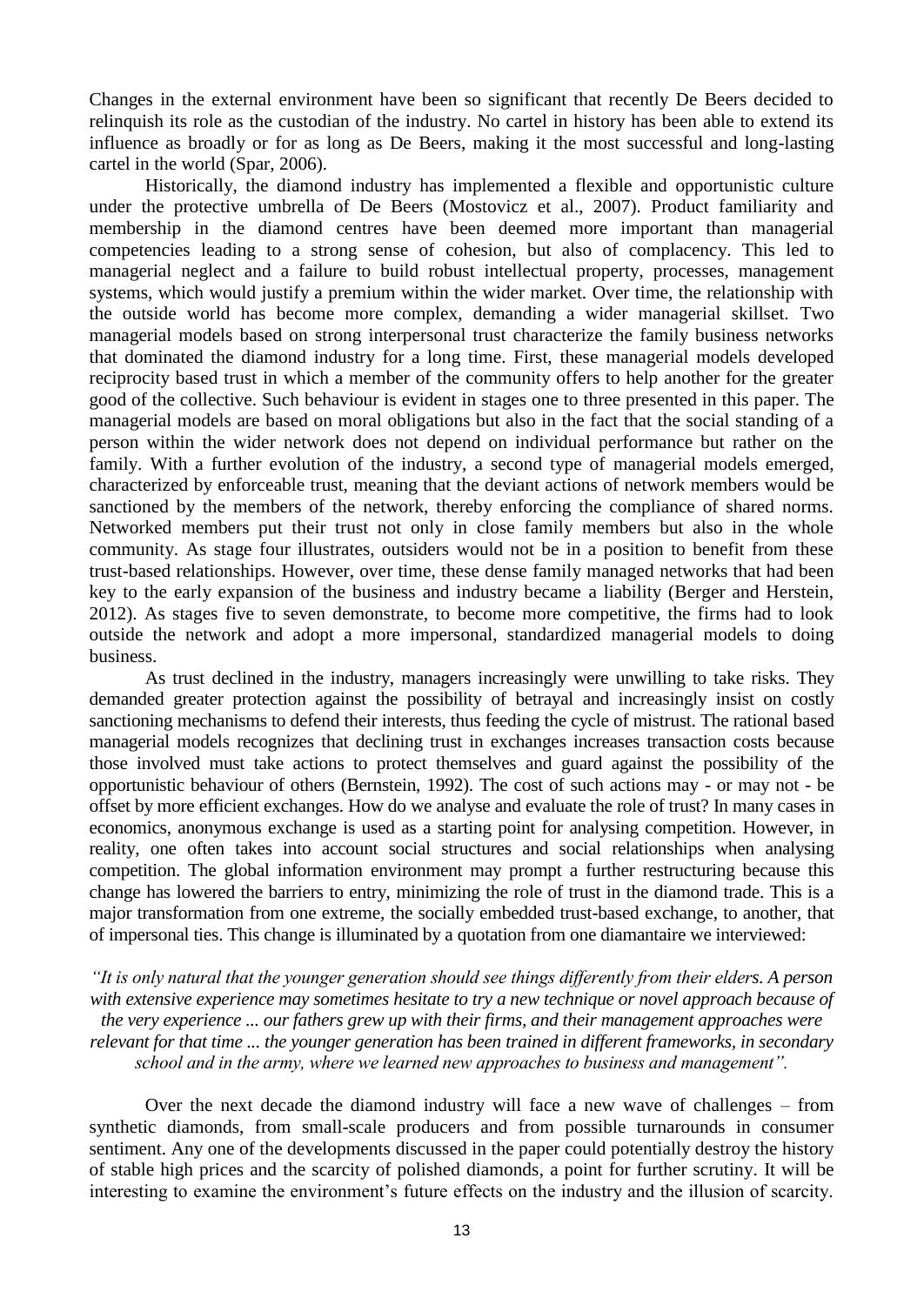Changes in the external environment have been so significant that recently De Beers decided to relinquish its role as the custodian of the industry. No cartel in history has been able to extend its influence as broadly or for as long as De Beers, making it the most successful and long-lasting cartel in the world (Spar, 2006).

Historically, the diamond industry has implemented a flexible and opportunistic culture under the protective umbrella of De Beers (Mostovicz et al., 2007). Product familiarity and membership in the diamond centres have been deemed more important than managerial competencies leading to a strong sense of cohesion, but also of complacency. This led to managerial neglect and a failure to build robust intellectual property, processes, management systems, which would justify a premium within the wider market. Over time, the relationship with the outside world has become more complex, demanding a wider managerial skillset. Two managerial models based on strong interpersonal trust characterize the family business networks that dominated the diamond industry for a long time. First, these managerial models developed reciprocity based trust in which a member of the community offers to help another for the greater good of the collective. Such behaviour is evident in stages one to three presented in this paper. The managerial models are based on moral obligations but also in the fact that the social standing of a person within the wider network does not depend on individual performance but rather on the family. With a further evolution of the industry, a second type of managerial models emerged, characterized by enforceable trust, meaning that the deviant actions of network members would be sanctioned by the members of the network, thereby enforcing the compliance of shared norms. Networked members put their trust not only in close family members but also in the whole community. As stage four illustrates, outsiders would not be in a position to benefit from these trust-based relationships. However, over time, these dense family managed networks that had been key to the early expansion of the business and industry became a liability (Berger and Herstein, 2012). As stages five to seven demonstrate, to become more competitive, the firms had to look outside the network and adopt a more impersonal, standardized managerial models to doing business.

As trust declined in the industry, managers increasingly were unwilling to take risks. They demanded greater protection against the possibility of betrayal and increasingly insist on costly sanctioning mechanisms to defend their interests, thus feeding the cycle of mistrust. The rational based managerial models recognizes that declining trust in exchanges increases transaction costs because those involved must take actions to protect themselves and guard against the possibility of the opportunistic behaviour of others (Bernstein, 1992). The cost of such actions may - or may not - be offset by more efficient exchanges. How do we analyse and evaluate the role of trust? In many cases in economics, anonymous exchange is used as a starting point for analysing competition. However, in reality, one often takes into account social structures and social relationships when analysing competition. The global information environment may prompt a further restructuring because this change has lowered the barriers to entry, minimizing the role of trust in the diamond trade. This is a major transformation from one extreme, the socially embedded trust-based exchange, to another, that of impersonal ties. This change is illuminated by a quotation from one diamantaire we interviewed:

*"It is only natural that the younger generation should see things differently from their elders. A person with extensive experience may sometimes hesitate to try a new technique or novel approach because of the very experience ... our fathers grew up with their firms, and their management approaches were relevant for that time ... the younger generation has been trained in different frameworks, in secondary school and in the army, where we learned new approaches to business and management".*

Over the next decade the diamond industry will face a new wave of challenges – from synthetic diamonds, from small-scale producers and from possible turnarounds in consumer sentiment. Any one of the developments discussed in the paper could potentially destroy the history of stable high prices and the scarcity of polished diamonds, a point for further scrutiny. It will be interesting to examine the environment's future effects on the industry and the illusion of scarcity.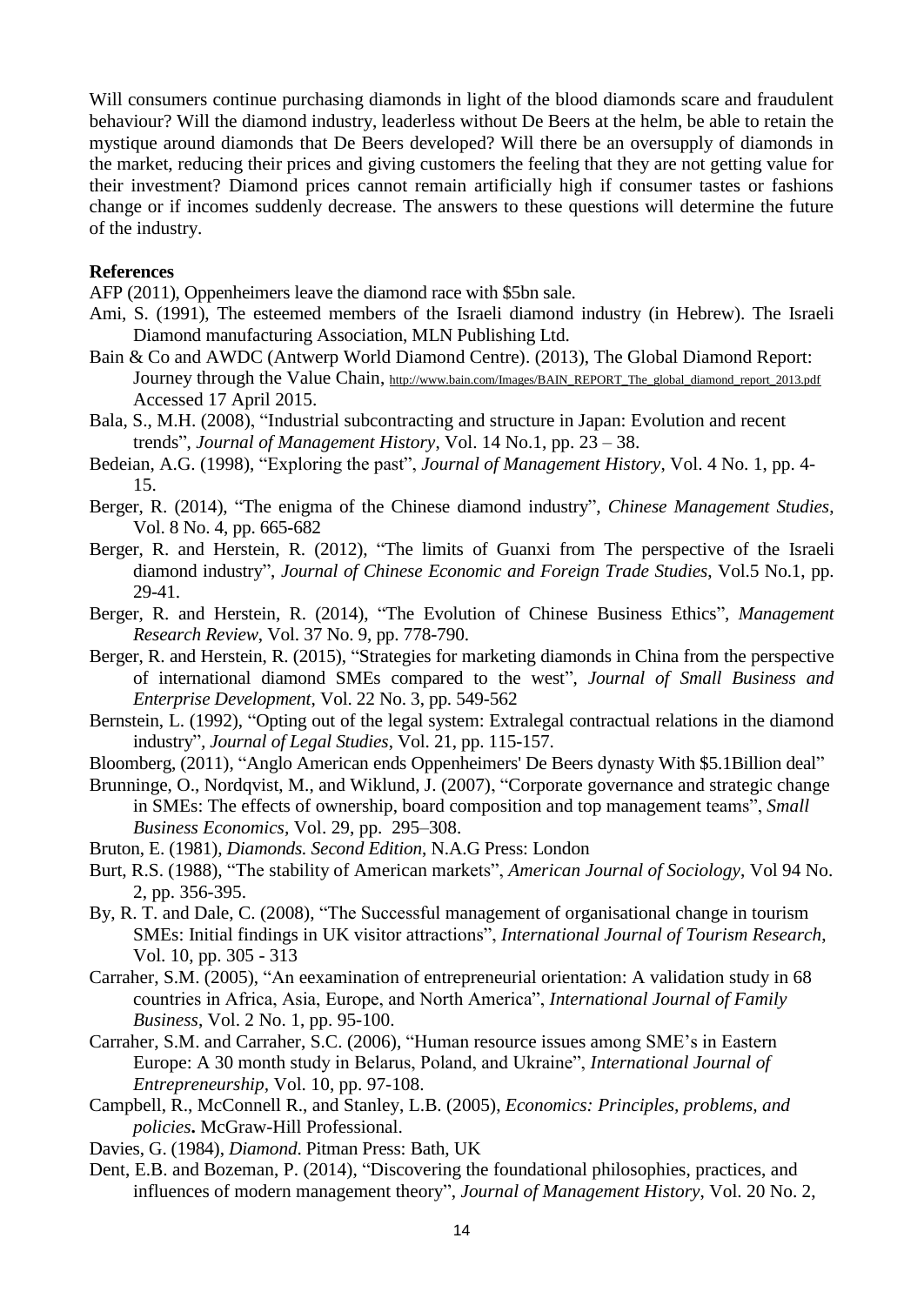Will consumers continue purchasing diamonds in light of the blood diamonds scare and fraudulent behaviour? Will the diamond industry, leaderless without De Beers at the helm, be able to retain the mystique around diamonds that De Beers developed? Will there be an oversupply of diamonds in the market, reducing their prices and giving customers the feeling that they are not getting value for their investment? Diamond prices cannot remain artificially high if consumer tastes or fashions change or if incomes suddenly decrease. The answers to these questions will determine the future of the industry.

#### **References**

AFP (2011), Oppenheimers leave the diamond race with \$5bn sale.

- Ami, S. (1991), The esteemed members of the Israeli diamond industry (in Hebrew). The Israeli Diamond manufacturing Association, MLN Publishing Ltd.
- Bain & Co and AWDC (Antwerp World Diamond Centre). (2013), The Global Diamond Report: Journey through the Value Chain, [http://www.bain.com/Images/BAIN\\_REPORT\\_The\\_global\\_diamond\\_report\\_2013.pdf](http://www.bain.com/Images/BAIN_REPORT_The_global_diamond_report_2013.pdf) Accessed 17 April 2015.
- Bala, S., M.H. (2008), "Industrial subcontracting and structure in Japan: Evolution and recent trends", *Journal of Management History*, Vol. 14 No.1, pp. 23 – 38.
- Bedeian, A.G. (1998), "Exploring the past", *Journal of Management History*, Vol. 4 No. 1, pp. 4- 15.
- Berger, R. (2014), "The enigma of the Chinese diamond industry", *Chinese Management Studies*, Vol. 8 No. 4, pp. 665-682
- Berger, R. and Herstein, R. (2012), "The limits of Guanxi from The perspective of the Israeli diamond industry", *Journal of Chinese Economic and Foreign Trade Studies*, Vol.5 No.1, pp. 29-41.
- Berger, R. and Herstein, R. (2014), "The Evolution of Chinese Business Ethics", *Management Research Review*, Vol. 37 No. 9, pp. 778-790.
- Berger, R. and Herstein, R. (2015), "Strategies for marketing diamonds in China from the perspective of international diamond SMEs compared to the west", *Journal of Small Business and Enterprise Development*, Vol. 22 No. 3, pp. 549-562
- Bernstein, L. (1992), "Opting out of the legal system: Extralegal contractual relations in the diamond industry"*, Journal of Legal Studies*, Vol. 21, pp. 115-157.
- Bloomberg, (2011), "Anglo American ends Oppenheimers' De Beers dynasty With \$5.1Billion deal"
- Brunninge, O., Nordqvist, M., and Wiklund, J. (2007), "Corporate governance and strategic change in SMEs: The effects of ownership, board composition and top management teams", *Small Business Economics,* Vol. 29, pp. 295–308.
- Bruton, E. (1981), *Diamonds. Second Edition*, N.A.G Press: London
- Burt, R.S. (1988), "The stability of American markets", *American Journal of Sociology*, Vol 94 No. 2, pp. 356-395.
- By, R. T. and Dale, C. (2008), "The Successful management of organisational change in tourism SMEs: Initial findings in UK visitor attractions", *International Journal of Tourism Research*, Vol. 10, pp. 305 - 313
- Carraher, S.M. (2005), "An eexamination of entrepreneurial orientation: A validation study in 68 countries in Africa, Asia, Europe, and North America", *International Journal of Family Business*, Vol. 2 No. 1, pp. 95-100.
- Carraher, S.M. and Carraher, S.C. (2006), "Human resource issues among SME's in Eastern Europe: A 30 month study in Belarus, Poland, and Ukraine", *International Journal of Entrepreneurship,* Vol. 10, pp. 97-108.
- Campbell, R., McConnell R., and Stanley, L.B. (2005), *Economics: Principles, problems, and policies***.** McGraw-Hill Professional.
- Davies, G. (1984), *Diamond*. Pitman Press: Bath, UK
- Dent, E.B. and Bozeman, P. (2014), "Discovering the foundational philosophies, practices, and influences of modern management theory", *Journal of Management History*, Vol. 20 No. 2,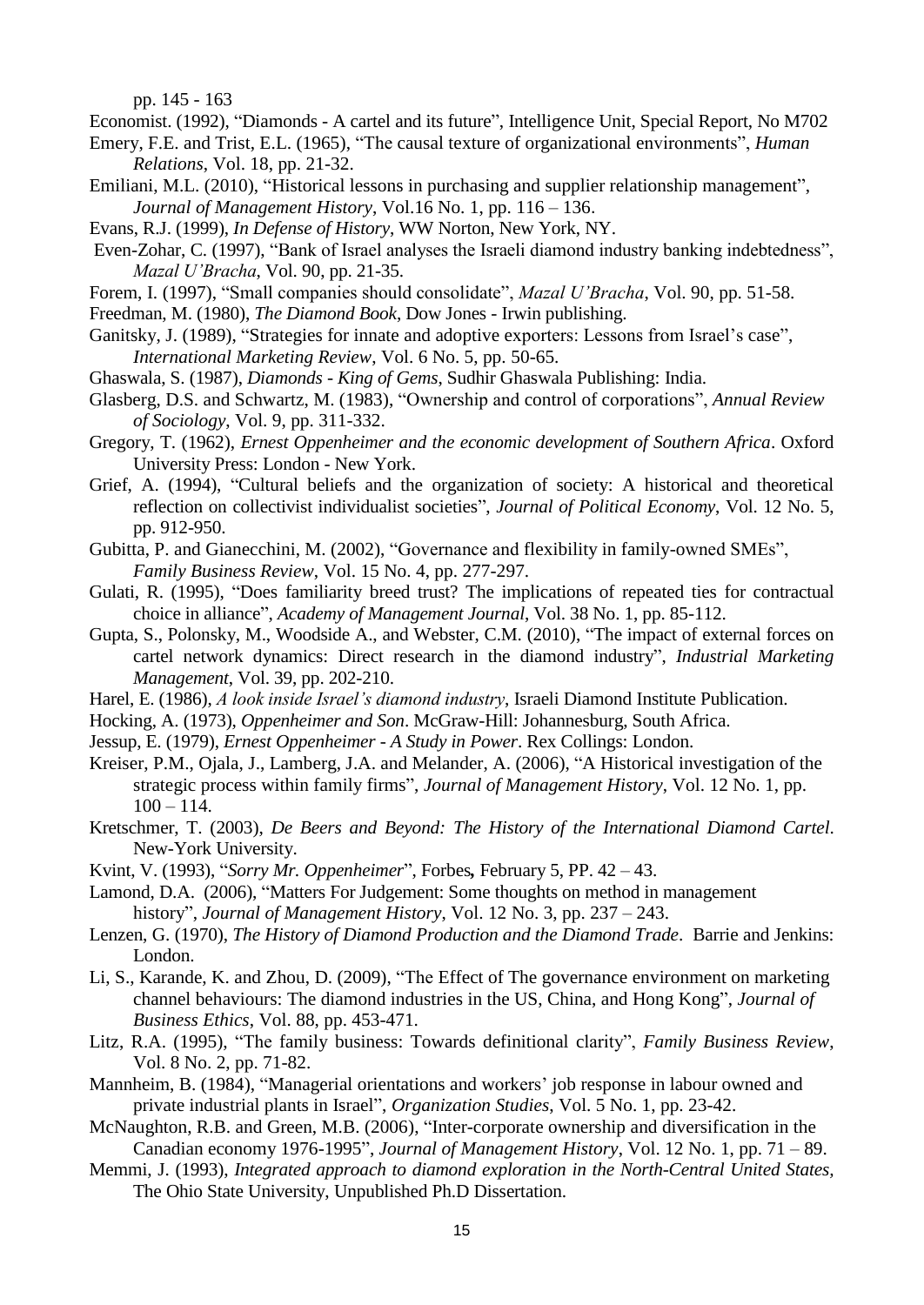pp. 145 - 163

Economist. (1992), "Diamonds - A cartel and its future", Intelligence Unit, Special Report, No M702

- Emery, F.E. and Trist, E.L. (1965), "The causal texture of organizational environments", *Human Relations*, Vol. 18, pp. 21-32.
- Emiliani, M.L. (2010), "Historical lessons in purchasing and supplier relationship management", *Journal of Management History*, Vol.16 No. 1, pp. 116 – 136.
- Evans, R.J. (1999), *In Defense of History*, WW Norton, New York, NY.
- Even-Zohar, C. (1997), "Bank of Israel analyses the Israeli diamond industry banking indebtedness", *Mazal U'Bracha*, Vol. 90, pp. 21-35.
- Forem, I. (1997), "Small companies should consolidate", *Mazal U'Bracha*, Vol. 90, pp. 51-58.
- Freedman, M. (1980), *The Diamond Book*, Dow Jones Irwin publishing.
- Ganitsky, J. (1989), "Strategies for innate and adoptive exporters: Lessons from Israel's case", *International Marketing Review*, Vol. 6 No. 5, pp. 50-65.
- Ghaswala, S. (1987), *Diamonds - King of Gems*, Sudhir Ghaswala Publishing: India.
- Glasberg, D.S. and Schwartz, M. (1983), "Ownership and control of corporations", *Annual Review of Sociology*, Vol. 9, pp. 311-332.
- Gregory, T. (1962), *Ernest Oppenheimer and the economic development of Southern Africa*. Oxford University Press: London - New York.
- Grief, A. (1994), "Cultural beliefs and the organization of society: A historical and theoretical reflection on collectivist individualist societies", *Journal of Political Economy*, Vol. 12 No. 5, pp. 912-950.
- Gubitta, P. and Gianecchini, M. (2002), "Governance and flexibility in family-owned SMEs", *Family Business Review*, Vol. 15 No. 4, pp. 277-297.
- Gulati, R. (1995), "Does familiarity breed trust? The implications of repeated ties for contractual choice in alliance", *Academy of Management Journal*, Vol. 38 No. 1, pp. 85-112.
- Gupta, S., Polonsky, M., Woodside A., and Webster, C.M. (2010), "The impact of external forces on cartel network dynamics: Direct research in the diamond industry", *Industrial Marketing Management*, Vol. 39, pp. 202-210.
- Harel, E. (1986), *A look inside Israel's diamond industry*, Israeli Diamond Institute Publication.
- Hocking, A. (1973), *Oppenheimer and Son*. McGraw-Hill: Johannesburg, South Africa.
- Jessup, E. (1979), *Ernest Oppenheimer - A Study in Power*. Rex Collings: London.
- Kreiser, P.M., Ojala, J., Lamberg, J.A. and Melander, A. (2006), "A Historical investigation of the strategic process within family firms", *Journal of Management History*, Vol. 12 No. 1, pp.  $100 - 114.$
- Kretschmer, T. (2003), *De Beers and Beyond: The History of the International Diamond Cartel*. New-York University.
- Kvint, V. (1993), "*Sorry Mr. Oppenheimer*", Forbes*,* February 5, PP. 42 43.
- Lamond, D.A. (2006), "Matters For Judgement: Some thoughts on method in management history", *Journal of Management History*, Vol. 12 No. 3, pp. 237 – 243.
- Lenzen, G. (1970), *The History of Diamond Production and the Diamond Trade*. Barrie and Jenkins: London.
- Li, S., Karande, K. and Zhou, D. (2009), "The Effect of The governance environment on marketing channel behaviours: The diamond industries in the US, China, and Hong Kong", *Journal of Business Ethics*, Vol. 88, pp. 453-471.
- Litz, R.A. (1995), "The family business: Towards definitional clarity", *Family Business Review*, Vol. 8 No. 2, pp. 71-82.
- Mannheim, B. (1984), "Managerial orientations and workers' job response in labour owned and private industrial plants in Israel", *Organization Studies*, Vol. 5 No. 1, pp. 23-42.
- McNaughton, R.B. and Green, M.B. (2006), "Inter-corporate ownership and diversification in the Canadian economy 1976-1995", *Journal of Management History*, Vol. 12 No. 1, pp. 71 – 89.
- Memmi, J. (1993), *Integrated approach to diamond exploration in the North-Central United States,* The Ohio State University, Unpublished Ph.D Dissertation.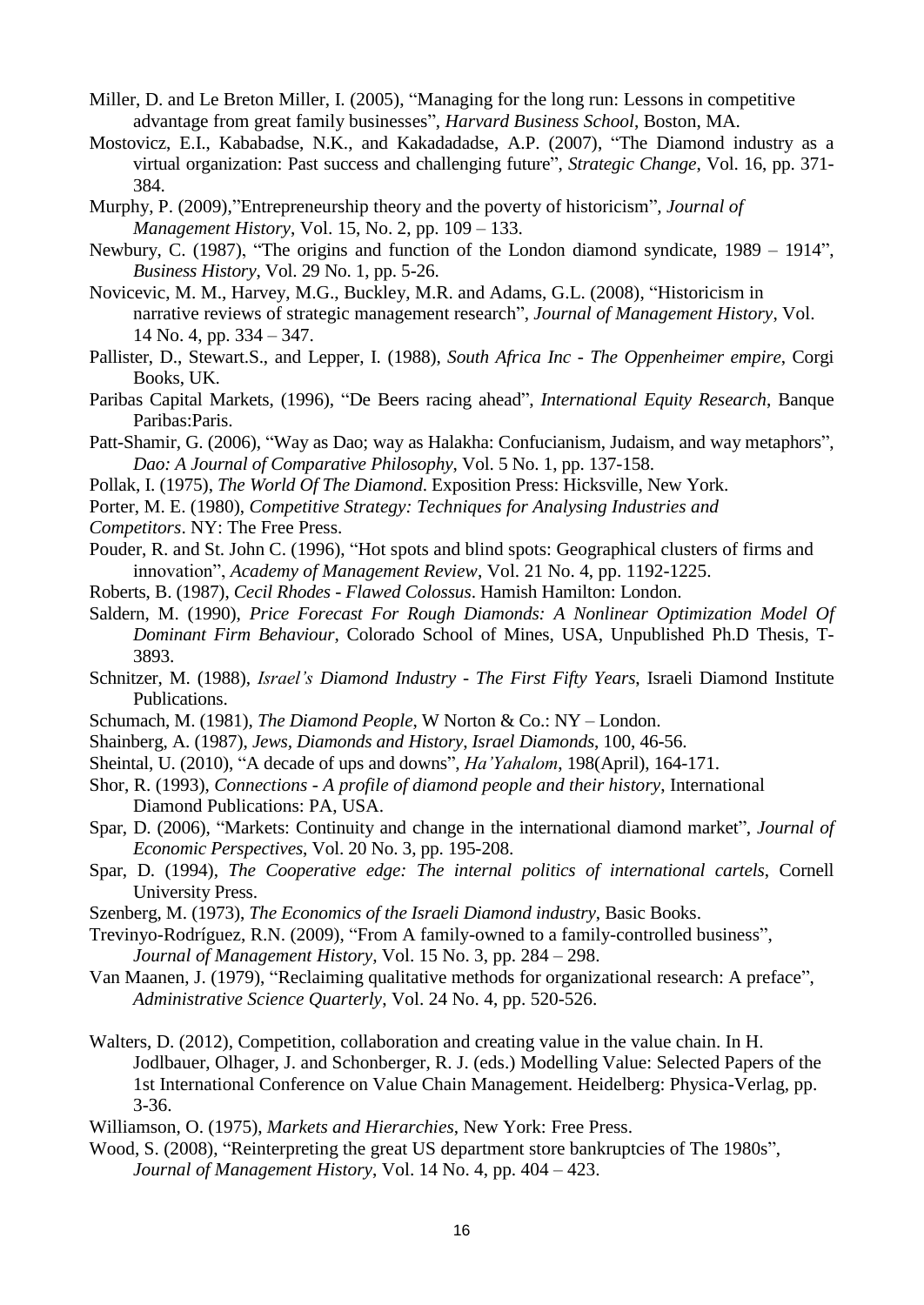- Miller, D. and Le Breton Miller, I. (2005), "Managing for the long run: Lessons in competitive advantage from great family businesses", *Harvard Business School*, Boston, MA.
- Mostovicz, E.I., Kababadse, N.K., and Kakadadadse, A.P. (2007), "The Diamond industry as a virtual organization: Past success and challenging future", *Strategic Change*, Vol. 16, pp. 371- 384.
- Murphy, P. (2009),"Entrepreneurship theory and the poverty of historicism", *Journal of Management History*, Vol. 15, No. 2, pp. 109 – 133.
- Newbury, C. (1987), "The origins and function of the London diamond syndicate, 1989 1914", *Business History*, Vol. 29 No. 1, pp. 5-26.
- Novicevic, M. M., Harvey, M.G., Buckley, M.R. and Adams, G.L. (2008), "Historicism in narrative reviews of strategic management research", *Journal of Management History*, Vol. 14 No. 4, pp. 334 – 347.
- Pallister, D., Stewart.S., and Lepper, I. (1988), *South Africa Inc - The Oppenheimer empire*, Corgi Books, UK.
- Paribas Capital Markets, (1996), "De Beers racing ahead", *International Equity Research*, Banque Paribas:Paris.
- Patt-Shamir, G. (2006), "Way as Dao; way as Halakha: Confucianism, Judaism, and way metaphors", *Dao: A Journal of Comparative Philosophy*, Vol. 5 No. 1, pp. 137-158.
- Pollak, I. (1975), *The World Of The Diamond*. Exposition Press: Hicksville, New York.
- Porter, M. E. (1980), *Competitive Strategy: Techniques for Analysing Industries and*
- *Competitors*. NY: The Free Press.
- Pouder, R. and St. John C. (1996), "Hot spots and blind spots: Geographical clusters of firms and innovation", *Academy of Management Review*, Vol. 21 No. 4, pp. 1192-1225.
- Roberts, B. (1987), *Cecil Rhodes - Flawed Colossus*. Hamish Hamilton: London.
- Saldern, M. (1990), *Price Forecast For Rough Diamonds: A Nonlinear Optimization Model Of Dominant Firm Behaviour*, Colorado School of Mines, USA, Unpublished Ph.D Thesis, T-3893.
- Schnitzer, M. (1988), *Israel's Diamond Industry - The First Fifty Years*, Israeli Diamond Institute Publications.
- Schumach, M. (1981), *The Diamond People*, W Norton & Co.: NY London.
- Shainberg, A. (1987), *Jews, Diamonds and History*, *Israel Diamonds*, 100, 46-56.
- Sheintal, U. (2010), "A decade of ups and downs", *Ha'Yahalom*, 198(April), 164-171.
- Shor, R. (1993), *Connections - A profile of diamond people and their history*, International Diamond Publications: PA, USA.
- Spar, D. (2006), "Markets: Continuity and change in the international diamond market", *Journal of Economic Perspectives*, Vol. 20 No. 3, pp. 195-208.
- Spar, D. (1994), *The Cooperative edge: The internal politics of international cartels*, Cornell University Press.
- Szenberg, M. (1973), *The Economics of the Israeli Diamond industry*, Basic Books.

Trevinyo-Rodríguez, R.N. (2009), "From A family-owned to a family-controlled business", *Journal of Management History,* Vol. 15 No. 3, pp. 284 – 298.

- Van Maanen, J. (1979), "Reclaiming qualitative methods for organizational research: A preface", *Administrative Science Quarterly*, Vol. 24 No. 4, pp. 520-526.
- Walters, D. (2012), Competition, collaboration and creating value in the value chain. In H. Jodlbauer, Olhager, J. and Schonberger, R. J. (eds.) Modelling Value: Selected Papers of the 1st International Conference on Value Chain Management. Heidelberg: Physica-Verlag, pp. 3-36.
- Williamson, O. (1975), *Markets and Hierarchies*, New York: Free Press.
- Wood, S. (2008), "Reinterpreting the great US department store bankruptcies of The 1980s", *Journal of Management History*, Vol. 14 No. 4, pp. 404 – 423.